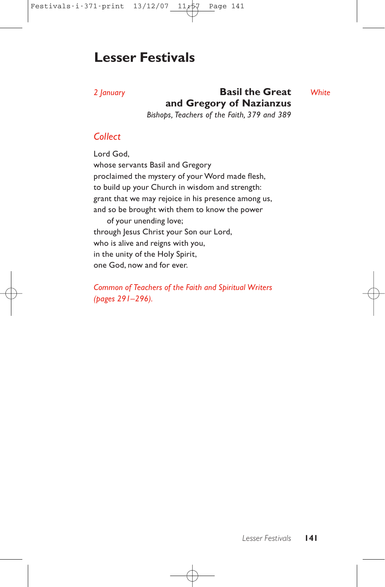# **Lesser Festivals**

## *2 January* **Basil the Great** *White* **and Gregory of Nazianzus**

*Bishops, Teachers of the Faith, 379 and 389* 

### *Collect*

Lord God, whose servants Basil and Gregory proclaimed the mystery of your Word made flesh, to build up your Church in wisdom and strength: grant that we may rejoice in his presence among us, and so be brought with them to know the power of your unending love; through Jesus Christ your Son our Lord, who is alive and reigns with you, in the unity of the Holy Spirit, one God, now and for ever.

*Common of Teachers of the Faith and Spiritual Writers (pages 291–296).*

*Lesser Festivals* **141**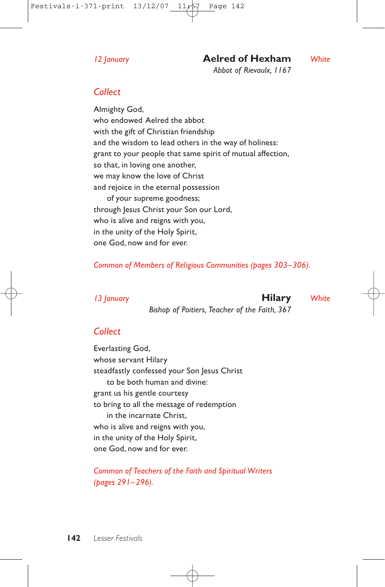### *12 January* **Aelred of Hexham** *White*

*Abbot of Rievaulx, 1167*

### *Collect*

Almighty God, who endowed Aelred the abbot with the gift of Christian friendship and the wisdom to lead others in the way of holiness: grant to your people that same spirit of mutual affection, so that, in loving one another, we may know the love of Christ and rejoice in the eternal possession of your supreme goodness; through Jesus Christ your Son our Lord, who is alive and reigns with you, in the unity of the Holy Spirit, one God, now and for ever.

### *Common of Members of Religious Communities (pages 303–306).*

*13 January* **Hilary** *White*

*Bishop of Poitiers, Teacher of the Faith, 367*

### *Collect*

Everlasting God, whose servant Hilary steadfastly confessed your Son Jesus Christ to be both human and divine: grant us his gentle courtesy to bring to all the message of redemption in the incarnate Christ, who is alive and reigns with you, in the unity of the Holy Spirit, one God, now and for ever.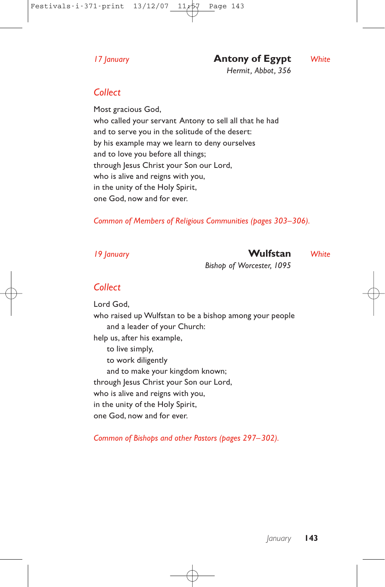# *17 January* **Antony of Egypt** *White*

*Hermit, Abbot, 356* 

### *Collect*

Most gracious God, who called your servant Antony to sell all that he had and to serve you in the solitude of the desert: by his example may we learn to deny ourselves and to love you before all things; through Jesus Christ your Son our Lord, who is alive and reigns with you, in the unity of the Holy Spirit, one God, now and for ever.

*Common of Members of Religious Communities (pages 303–306).*

| 19 January |  |
|------------|--|

*19 January* **Wulfstan** *White Bishop of Worcester, 1095*

*Collect*

Lord God, who raised up Wulfstan to be a bishop among your people and a leader of your Church: help us, after his example, to live simply, to work diligently and to make your kingdom known; through Jesus Christ your Son our Lord, who is alive and reigns with you, in the unity of the Holy Spirit, one God, now and for ever.

*Common of Bishops and other Pastors (pages 297–302).*

*January* **143**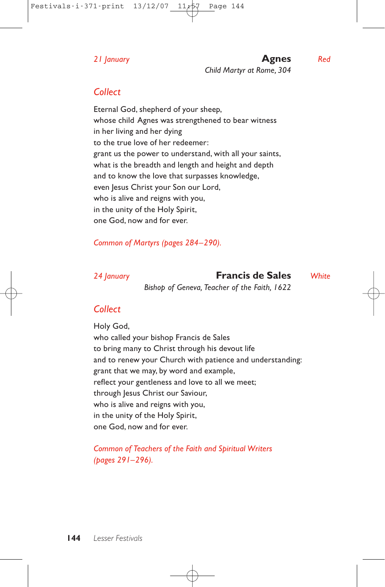### *21 January* **Agnes** *Red*

*Child Martyr at Rome, 304*

### *Collect*

Eternal God, shepherd of your sheep, whose child Agnes was strengthened to bear witness in her living and her dying to the true love of her redeemer: grant us the power to understand, with all your saints, what is the breadth and length and height and depth and to know the love that surpasses knowledge, even Jesus Christ your Son our Lord, who is alive and reigns with you, in the unity of the Holy Spirit, one God, now and for ever.

### *Common of Martyrs (pages 284–290).*

*24 January* **Francis de Sales** *White Bishop of Geneva, Teacher of the Faith, 1622*

### *Collect*

Holy God, who called your bishop Francis de Sales to bring many to Christ through his devout life and to renew your Church with patience and understanding: grant that we may, by word and example, reflect your gentleness and love to all we meet; through Jesus Christ our Saviour, who is alive and reigns with you, in the unity of the Holy Spirit, one God, now and for ever.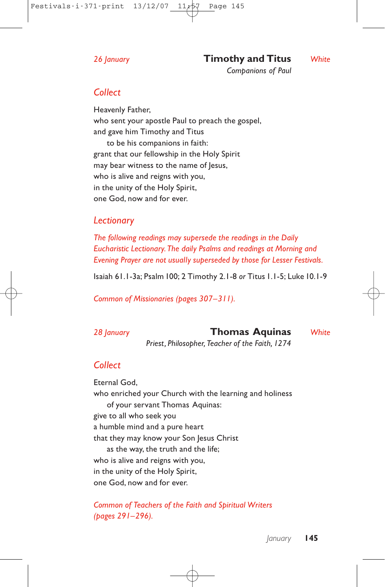### *26 January* **Timothy and Titus** *White*

*Companions of Paul* 

### *Collect*

Heavenly Father, who sent your apostle Paul to preach the gospel, and gave him Timothy and Titus to be his companions in faith: grant that our fellowship in the Holy Spirit may bear witness to the name of Jesus, who is alive and reigns with you, in the unity of the Holy Spirit, one God, now and for ever.

### *Lectionary*

*The following readings may supersede the readings in the Daily Eucharistic Lectionary. The daily Psalms and readings at Morning and Evening Prayer are not usually superseded by those for Lesser Festivals.*

Isaiah 61.1-3a; Psalm 100; 2 Timothy 2.1-8 *or* Titus 1.1-5; Luke 10.1-9

*Common of Missionaries (pages 307–311).*

*28 January* **Thomas Aquinas** *White*

*Priest, Philosopher, Teacher of the Faith, 1274*

### *Collect*

Eternal God, who enriched your Church with the learning and holiness of your servant Thomas Aquinas: give to all who seek you a humble mind and a pure heart that they may know your Son Jesus Christ as the way, the truth and the life; who is alive and reigns with you, in the unity of the Holy Spirit, one God, now and for ever.

*Common of Teachers of the Faith and Spiritual Writers (pages 291–296).*

*January* **145**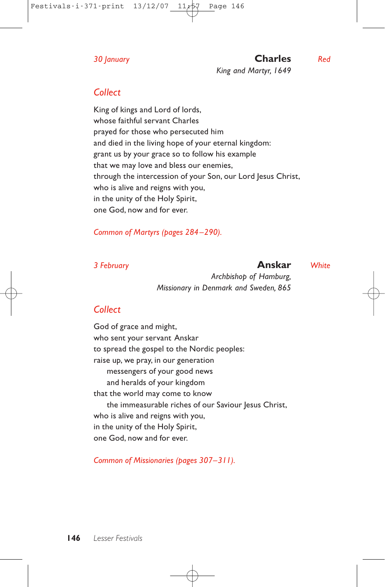### *30 January* **Charles** *Red*

# *King and Martyr, 1649*

### *Collect*

King of kings and Lord of lords, whose faithful servant Charles prayed for those who persecuted him and died in the living hope of your eternal kingdom: grant us by your grace so to follow his example that we may love and bless our enemies, through the intercession of your Son, our Lord Jesus Christ, who is alive and reigns with you, in the unity of the Holy Spirit, one God, now and for ever.

### *Common of Martyrs (pages 284–290).*

### *3 February* **Anskar** *White*

*Archbishop of Hamburg, Missionary in Denmark and Sweden, 865*

### *Collect*

God of grace and might, who sent your servant Anskar to spread the gospel to the Nordic peoples: raise up, we pray, in our generation messengers of your good news and heralds of your kingdom that the world may come to know the immeasurable riches of our Saviour Jesus Christ, who is alive and reigns with you, in the unity of the Holy Spirit, one God, now and for ever.

### *Common of Missionaries (pages 307–311).*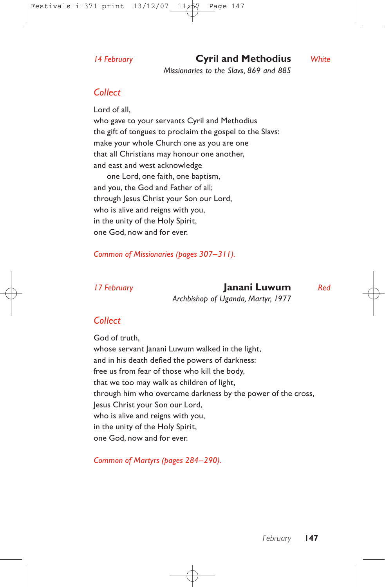### *14 February* **Cyril and Methodius** *White*

*Missionaries to the Slavs, 869 and 885*

### *Collect*

Lord of all,

who gave to your servants Cyril and Methodius the gift of tongues to proclaim the gospel to the Slavs: make your whole Church one as you are one that all Christians may honour one another, and east and west acknowledge

one Lord, one faith, one baptism, and you, the God and Father of all; through Jesus Christ your Son our Lord, who is alive and reigns with you, in the unity of the Holy Spirit, one God, now and for ever.

### *Common of Missionaries (pages 307–311).*

*17 February* **Janani Luwum** *Red Archbishop of Uganda, Martyr, 1977*

### *Collect*

God of truth, whose servant Janani Luwum walked in the light, and in his death defied the powers of darkness: free us from fear of those who kill the body, that we too may walk as children of light, through him who overcame darkness by the power of the cross, Jesus Christ your Son our Lord, who is alive and reigns with you, in the unity of the Holy Spirit, one God, now and for ever.

*Common of Martyrs (pages 284–290).*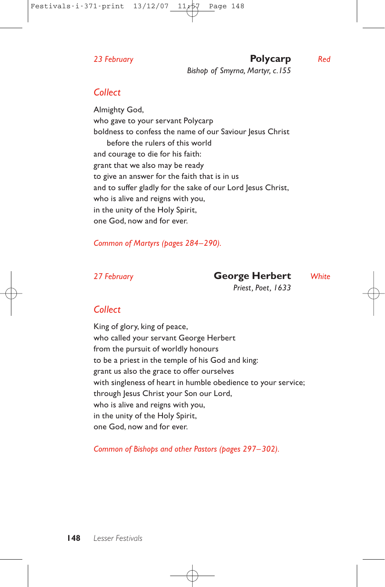### *23 February* **Polycarp** *Red*

*Bishop of Smyrna, Martyr, c.155*

### *Collect*

Almighty God, who gave to your servant Polycarp boldness to confess the name of our Saviour Jesus Christ before the rulers of this world and courage to die for his faith: grant that we also may be ready to give an answer for the faith that is in us and to suffer gladly for the sake of our Lord Jesus Christ, who is alive and reigns with you, in the unity of the Holy Spirit, one God, now and for ever.

### *Common of Martyrs (pages 284–290).*

# *27 February* **George Herbert** *White*

*Priest, Poet, 1633*

### *Collect*

King of glory, king of peace, who called your servant George Herbert from the pursuit of worldly honours to be a priest in the temple of his God and king: grant us also the grace to offer ourselves with singleness of heart in humble obedience to your service; through Jesus Christ your Son our Lord, who is alive and reigns with you, in the unity of the Holy Spirit, one God, now and for ever.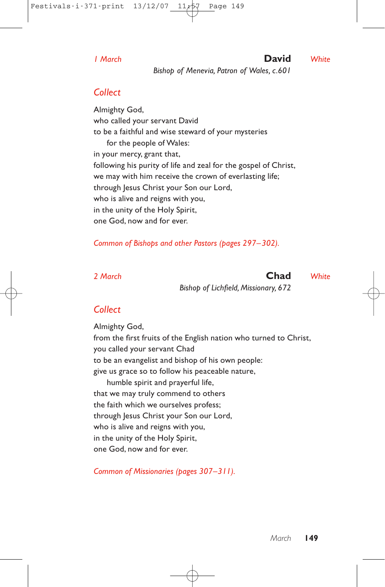### *1 March* **David** *White Bishop of Menevia, Patron of Wales, c.601*

### *Collect*

Almighty God, who called your servant David to be a faithful and wise steward of your mysteries for the people of Wales: in your mercy, grant that, following his purity of life and zeal for the gospel of Christ, we may with him receive the crown of everlasting life; through Jesus Christ your Son our Lord, who is alive and reigns with you, in the unity of the Holy Spirit, one God, now and for ever.

### *Common of Bishops and other Pastors (pages 297–302).*

*2 March* **Chad** *White Bishop of Lichfield, Missionary, 672*

### *Collect*

Almighty God, from the first fruits of the English nation who turned to Christ, you called your servant Chad to be an evangelist and bishop of his own people: give us grace so to follow his peaceable nature, humble spirit and prayerful life, that we may truly commend to others the faith which we ourselves profess; through Jesus Christ your Son our Lord, who is alive and reigns with you, in the unity of the Holy Spirit, one God, now and for ever.

*Common of Missionaries (pages 307–311).*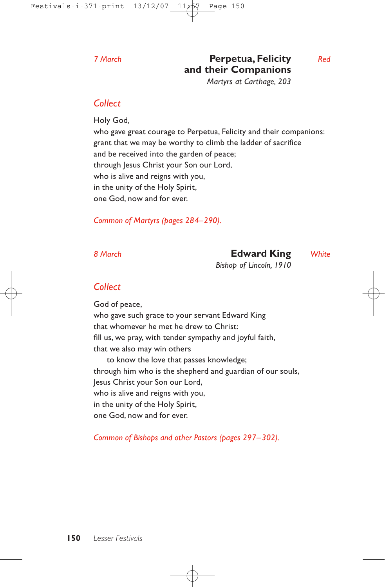### *7 March* **Perpetua, Felicity** *Red* **and their Companions**

*Martyrs at Carthage, 203*

### *Collect*

Holy God,

who gave great courage to Perpetua, Felicity and their companions: grant that we may be worthy to climb the ladder of sacrifice and be received into the garden of peace; through Jesus Christ your Son our Lord, who is alive and reigns with you, in the unity of the Holy Spirit, one God, now and for ever.

### *Common of Martyrs (pages 284–290).*

# *8 March* **Edward King** *White*

*Bishop of Lincoln, 1910*

### *Collect*

God of peace,

who gave such grace to your servant Edward King that whomever he met he drew to Christ: fill us, we pray, with tender sympathy and joyful faith, that we also may win others

to know the love that passes knowledge; through him who is the shepherd and guardian of our souls, Jesus Christ your Son our Lord, who is alive and reigns with you, in the unity of the Holy Spirit, one God, now and for ever.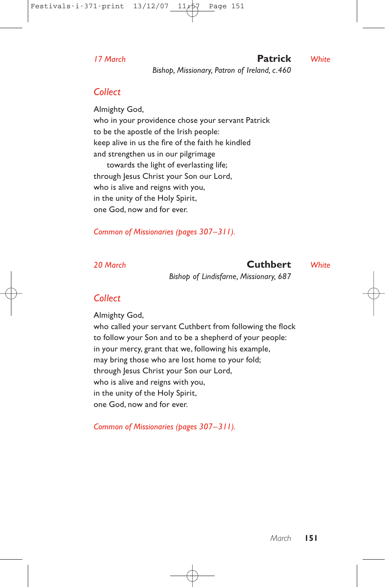### *17 March* **Patrick** *White Bishop, Missionary, Patron of Ireland, c.460*

### *Collect*

Almighty God,

who in your providence chose your servant Patrick to be the apostle of the Irish people: keep alive in us the fire of the faith he kindled and strengthen us in our pilgrimage

towards the light of everlasting life; through Jesus Christ your Son our Lord, who is alive and reigns with you, in the unity of the Holy Spirit, one God, now and for ever.

### *Common of Missionaries (pages 307–311).*

# *20 March* **Cuthbert** *White*

*Bishop of Lindisfarne, Missionary, 687*

### *Collect*

Almighty God,

who called your servant Cuthbert from following the flock to follow your Son and to be a shepherd of your people: in your mercy, grant that we, following his example, may bring those who are lost home to your fold; through Jesus Christ your Son our Lord, who is alive and reigns with you, in the unity of the Holy Spirit, one God, now and for ever.

*Common of Missionaries (pages 307–311).*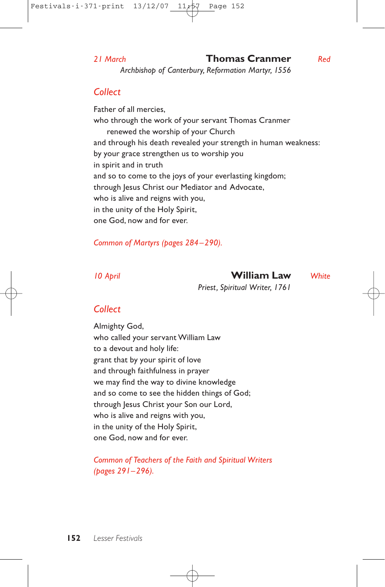*21 March* **Thomas Cranmer** *Red*

*Archbishop of Canterbury, Reformation Martyr, 1556*

### *Collect*

Father of all mercies, who through the work of your servant Thomas Cranmer renewed the worship of your Church and through his death revealed your strength in human weakness: by your grace strengthen us to worship you in spirit and in truth and so to come to the joys of your everlasting kingdom; through Jesus Christ our Mediator and Advocate, who is alive and reigns with you, in the unity of the Holy Spirit, one God, now and for ever.

### *Common of Martyrs (pages 284–290).*

*10 April* **William Law** *White*

*Priest, Spiritual Writer, 1761*

### *Collect*

Almighty God, who called your servant William Law to a devout and holy life: grant that by your spirit of love and through faithfulness in prayer we may find the way to divine knowledge and so come to see the hidden things of God; through Jesus Christ your Son our Lord, who is alive and reigns with you, in the unity of the Holy Spirit, one God, now and for ever.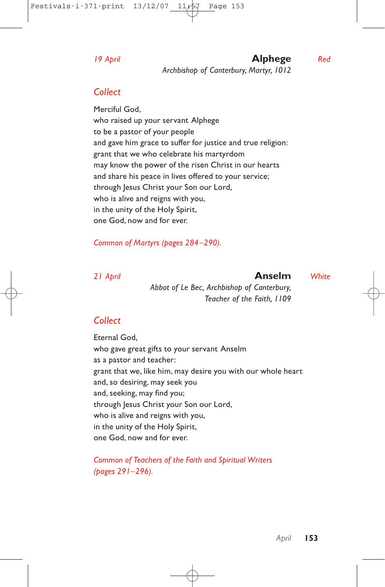### *19 April* **Alphege** *Red Archbishop of Canterbury, Martyr, 1012*

### *Collect*

Merciful God, who raised up your servant Alphege to be a pastor of your people and gave him grace to suffer for justice and true religion: grant that we who celebrate his martyrdom may know the power of the risen Christ in our hearts and share his peace in lives offered to your service; through Jesus Christ your Son our Lord, who is alive and reigns with you, in the unity of the Holy Spirit, one God, now and for ever.

### *Common of Martyrs (pages 284–290).*

### *21 April* **Anselm** *White*

*Abbot of Le Bec, Archbishop of Canterbury, Teacher of the Faith, 1109*

### *Collect*

Eternal God, who gave great gifts to your servant Anselm as a pastor and teacher: grant that we, like him, may desire you with our whole heart and, so desiring, may seek you and, seeking, may find you; through Jesus Christ your Son our Lord, who is alive and reigns with you, in the unity of the Holy Spirit, one God, now and for ever.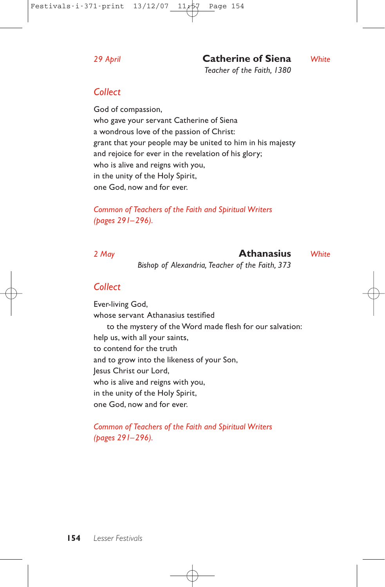### *29 April* **Catherine of Siena** *White*

*Teacher of the Faith, 1380*

### *Collect*

God of compassion, who gave your servant Catherine of Siena a wondrous love of the passion of Christ: grant that your people may be united to him in his majesty and rejoice for ever in the revelation of his glory; who is alive and reigns with you, in the unity of the Holy Spirit, one God, now and for ever.

*Common of Teachers of the Faith and Spiritual Writers (pages 291–296).*

# *2 May* **Athanasius** *White*

*Bishop of Alexandria, Teacher of the Faith, 373*

### *Collect*

Ever-living God, whose servant Athanasius testified to the mystery of the Word made flesh for our salvation: help us, with all your saints, to contend for the truth and to grow into the likeness of your Son, Jesus Christ our Lord, who is alive and reigns with you, in the unity of the Holy Spirit, one God, now and for ever.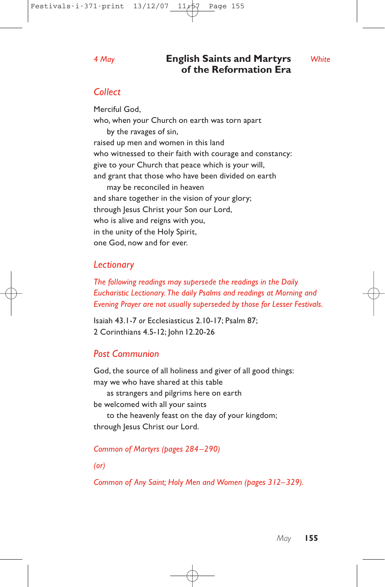### *4 May* **English Saints and Martyrs** *White* **of the Reformation Era**

### *Collect*

Merciful God,

who, when your Church on earth was torn apart by the ravages of sin, raised up men and women in this land who witnessed to their faith with courage and constancy: give to your Church that peace which is your will, and grant that those who have been divided on earth may be reconciled in heaven and share together in the vision of your glory; through Jesus Christ your Son our Lord, who is alive and reigns with you, in the unity of the Holy Spirit, one God, now and for ever.

### *Lectionary*

*The following readings may supersede the readings in the Daily Eucharistic Lectionary. The daily Psalms and readings at Morning and Evening Prayer are not usually superseded by those for Lesser Festivals.*

Isaiah 43.1-7 *or* Ecclesiasticus 2.10-17; Psalm 87; 2 Corinthians 4.5-12; John 12.20-26

### *Post Communion*

God, the source of all holiness and giver of all good things: may we who have shared at this table

as strangers and pilgrims here on earth be welcomed with all your saints

to the heavenly feast on the day of your kingdom; through Jesus Christ our Lord.

### *Common of Martyrs (pages 284–290)*

*(or)*

*Common of Any Saint; Holy Men and Women (pages 312–329).*

*May* **155**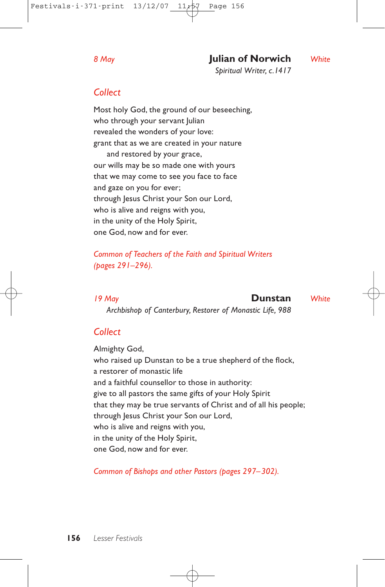### *8 May* **Julian of Norwich** *White*

*Spiritual Writer, c.1417*

### *Collect*

Most holy God, the ground of our beseeching, who through your servant Julian revealed the wonders of your love: grant that as we are created in your nature and restored by your grace, our wills may be so made one with yours that we may come to see you face to face and gaze on you for ever; through Jesus Christ your Son our Lord, who is alive and reigns with you, in the unity of the Holy Spirit, one God, now and for ever.

*Common of Teachers of the Faith and Spiritual Writers (pages 291–296).*

### *19 May* **Dunstan** *White*

*Archbishop of Canterbury, Restorer of Monastic Life, 988*

### *Collect*

Almighty God, who raised up Dunstan to be a true shepherd of the flock, a restorer of monastic life and a faithful counsellor to those in authority: give to all pastors the same gifts of your Holy Spirit that they may be true servants of Christ and of all his people; through Jesus Christ your Son our Lord, who is alive and reigns with you, in the unity of the Holy Spirit, one God, now and for ever.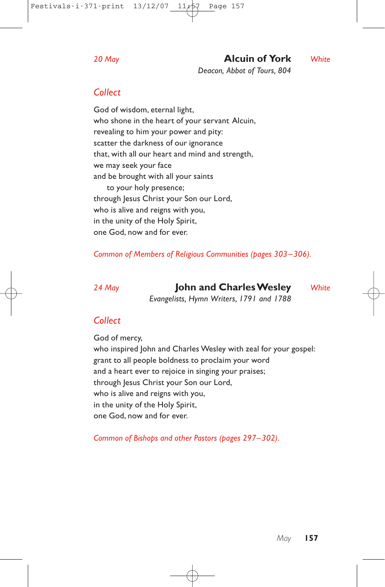# *20 May* **Alcuin of York** *White*

*Deacon, Abbot of Tours, 804*

### *Collect*

God of wisdom, eternal light, who shone in the heart of your servant Alcuin, revealing to him your power and pity: scatter the darkness of our ignorance that, with all our heart and mind and strength, we may seek your face and be brought with all your saints to your holy presence; through Jesus Christ your Son our Lord, who is alive and reigns with you, in the unity of the Holy Spirit, one God, now and for ever.

*Common of Members of Religious Communities (pages 303–306).*

### *24 May* **John and Charles Wesley** *White Evangelists, Hymn Writers, 1791 and 1788*

### *Collect*

God of mercy, who inspired John and Charles Wesley with zeal for your gospel: grant to all people boldness to proclaim your word and a heart ever to rejoice in singing your praises; through Jesus Christ your Son our Lord, who is alive and reigns with you, in the unity of the Holy Spirit, one God, now and for ever.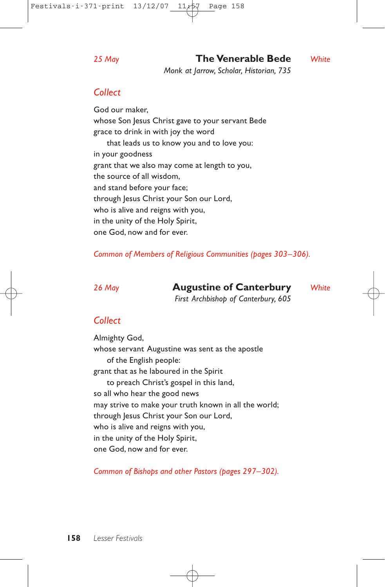### *25 May* **The Venerable Bede** *White*

*Monk at Jarrow, Scholar, Historian, 735*

### *Collect*

God our maker, whose Son Jesus Christ gave to your servant Bede grace to drink in with joy the word that leads us to know you and to love you: in your goodness grant that we also may come at length to you, the source of all wisdom, and stand before your face; through Jesus Christ your Son our Lord, who is alive and reigns with you, in the unity of the Holy Spirit, one God, now and for ever.

### *Common of Members of Religious Communities (pages 303–306).*

*26 May* **Augustine of Canterbury** *White First Archbishop of Canterbury, 605*

### *Collect*

Almighty God, whose servant Augustine was sent as the apostle of the English people: grant that as he laboured in the Spirit to preach Christ's gospel in this land, so all who hear the good news may strive to make your truth known in all the world; through Jesus Christ your Son our Lord, who is alive and reigns with you, in the unity of the Holy Spirit, one God, now and for ever.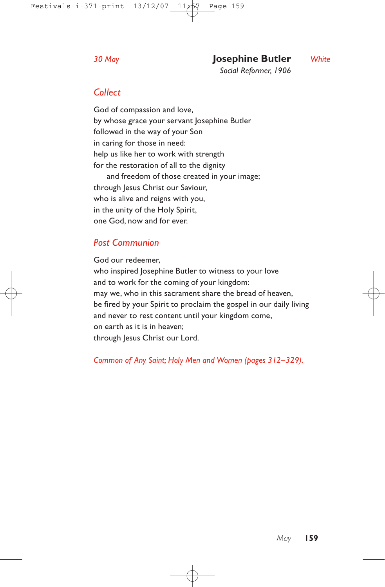## *30 May* **Josephine Butler** *White*

*Social Reformer, 1906*

### *Collect*

God of compassion and love, by whose grace your servant Josephine Butler followed in the way of your Son in caring for those in need: help us like her to work with strength for the restoration of all to the dignity and freedom of those created in your image; through Jesus Christ our Saviour, who is alive and reigns with you, in the unity of the Holy Spirit, one God, now and for ever.

### *Post Communion*

God our redeemer, who inspired Josephine Butler to witness to your love and to work for the coming of your kingdom: may we, who in this sacrament share the bread of heaven, be fired by your Spirit to proclaim the gospel in our daily living and never to rest content until your kingdom come, on earth as it is in heaven; through Jesus Christ our Lord.

*Common of Any Saint; Holy Men and Women (pages 312–329).*

*May* **159**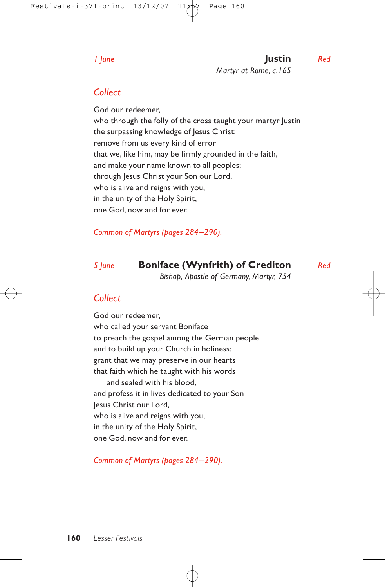### *1 June* **Justin** *Red*

*Martyr at Rome, c.165*

### *Collect*

God our redeemer,

who through the folly of the cross taught your martyr Justin the surpassing knowledge of Jesus Christ: remove from us every kind of error that we, like him, may be firmly grounded in the faith, and make your name known to all peoples; through Jesus Christ your Son our Lord, who is alive and reigns with you, in the unity of the Holy Spirit, one God, now and for ever.

### *Common of Martyrs (pages 284–290).*

### *5 June* **Boniface (Wynfrith) of Crediton** *Red*

*Bishop, Apostle of Germany, Martyr, 754* 

### *Collect*

God our redeemer, who called your servant Boniface to preach the gospel among the German people and to build up your Church in holiness: grant that we may preserve in our hearts that faith which he taught with his words and sealed with his blood, and profess it in lives dedicated to your Son Jesus Christ our Lord, who is alive and reigns with you, in the unity of the Holy Spirit, one God, now and for ever.

### *Common of Martyrs (pages 284–290).*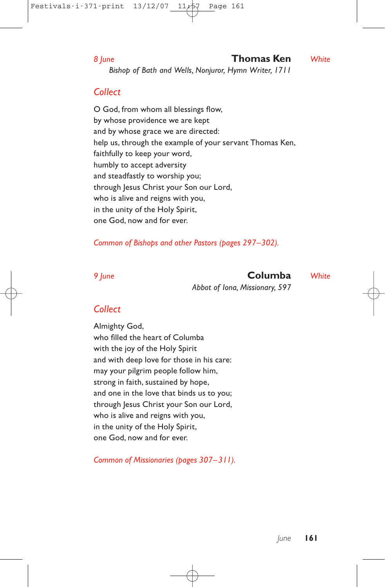*8 June* **Thomas Ken** *White*

*Bishop of Bath and Wells, Nonjuror, Hymn Writer, 1711*

### *Collect*

O God, from whom all blessings flow, by whose providence we are kept and by whose grace we are directed: help us, through the example of your servant Thomas Ken, faithfully to keep your word, humbly to accept adversity and steadfastly to worship you; through Jesus Christ your Son our Lord, who is alive and reigns with you, in the unity of the Holy Spirit, one God, now and for ever.

### *Common of Bishops and other Pastors (pages 297–302).*

*9 June* **Columba** *White Abbot of Iona, Missionary, 597*

### *Collect*

Almighty God, who filled the heart of Columba with the joy of the Holy Spirit and with deep love for those in his care: may your pilgrim people follow him, strong in faith, sustained by hope, and one in the love that binds us to you; through Jesus Christ your Son our Lord, who is alive and reigns with you, in the unity of the Holy Spirit, one God, now and for ever.

*Common of Missionaries (pages 307–311).*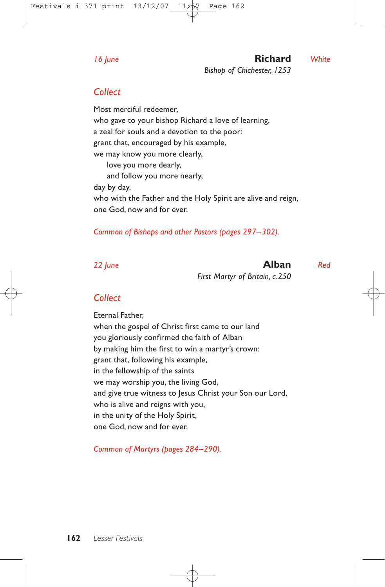### *16 June* **Richard** *White*

*Bishop of Chichester, 1253*

### *Collect*

Most merciful redeemer, who gave to your bishop Richard a love of learning, a zeal for souls and a devotion to the poor: grant that, encouraged by his example, we may know you more clearly, love you more dearly, and follow you more nearly, day by day, who with the Father and the Holy Spirit are alive and reign, one God, now and for ever.

### *Common of Bishops and other Pastors (pages 297–302).*

| 22 June | <b>Alban</b>                   |  |
|---------|--------------------------------|--|
|         | First Martyr of Britain, c.250 |  |

### *Collect*

Eternal Father, when the gospel of Christ first came to our land you gloriously confirmed the faith of Alban by making him the first to win a martyr's crown: grant that, following his example, in the fellowship of the saints we may worship you, the living God, and give true witness to Jesus Christ your Son our Lord, who is alive and reigns with you, in the unity of the Holy Spirit, one God, now and for ever.

*Common of Martyrs (pages 284–290).*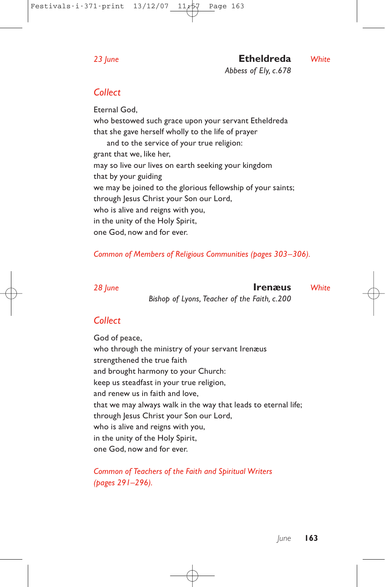*23 June* **Etheldreda** *White*

*Abbess of Ely, c.678*

### *Collect*

Eternal God,

who bestowed such grace upon your servant Etheldreda that she gave herself wholly to the life of prayer and to the service of your true religion: grant that we, like her, may so live our lives on earth seeking your kingdom that by your guiding we may be joined to the glorious fellowship of your saints; through Jesus Christ your Son our Lord, who is alive and reigns with you, in the unity of the Holy Spirit, one God, now and for ever.

### *Common of Members of Religious Communities (pages 303–306).*

*28 June* **Irenæus** *White Bishop of Lyons, Teacher of the Faith, c.200*

### *Collect*

God of peace, who through the ministry of your servant Irenæus strengthened the true faith and brought harmony to your Church: keep us steadfast in your true religion, and renew us in faith and love, that we may always walk in the way that leads to eternal life; through Jesus Christ your Son our Lord, who is alive and reigns with you, in the unity of the Holy Spirit, one God, now and for ever.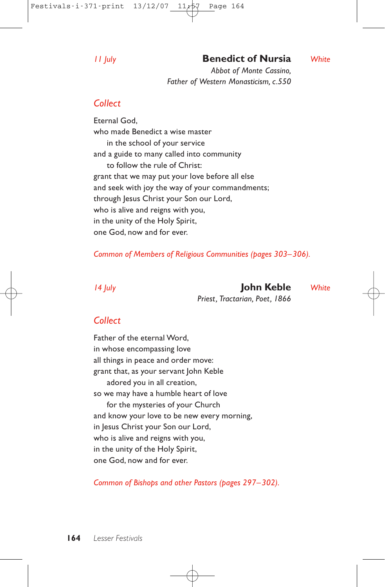### *11 July* **Benedict of Nursia** *White*

*Abbot of Monte Cassino, Father of Western Monasticism, c.550* 

### *Collect*

Eternal God, who made Benedict a wise master in the school of your service and a guide to many called into community to follow the rule of Christ: grant that we may put your love before all else and seek with joy the way of your commandments; through Jesus Christ your Son our Lord, who is alive and reigns with you, in the unity of the Holy Spirit, one God, now and for ever.

### *Common of Members of Religious Communities (pages 303–306).*

*14 July* **John Keble** *White Priest, Tractarian, Poet, 1866*

### *Collect*

Father of the eternal Word, in whose encompassing love all things in peace and order move: grant that, as your servant John Keble adored you in all creation, so we may have a humble heart of love for the mysteries of your Church and know your love to be new every morning, in Jesus Christ your Son our Lord, who is alive and reigns with you, in the unity of the Holy Spirit, one God, now and for ever.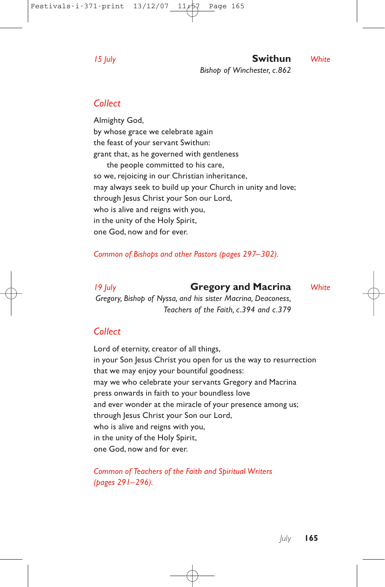*15 July* **Swithun** *White Bishop of Winchester, c.862*

### *Collect*

Almighty God, by whose grace we celebrate again the feast of your servant Swithun: grant that, as he governed with gentleness the people committed to his care, so we, rejoicing in our Christian inheritance, may always seek to build up your Church in unity and love; through Jesus Christ your Son our Lord, who is alive and reigns with you, in the unity of the Holy Spirit, one God, now and for ever.

### *Common of Bishops and other Pastors (pages 297–302).*

### *19 July* **Gregory and Macrina** *White*

*Gregory, Bishop of Nyssa, and his sister Macrina, Deaconess, Teachers of the Faith, c.394 and c.379*

### *Collect*

Lord of eternity, creator of all things, in your Son Jesus Christ you open for us the way to resurrection that we may enjoy your bountiful goodness: may we who celebrate your servants Gregory and Macrina press onwards in faith to your boundless love and ever wonder at the miracle of your presence among us; through Jesus Christ your Son our Lord, who is alive and reigns with you, in the unity of the Holy Spirit, one God, now and for ever.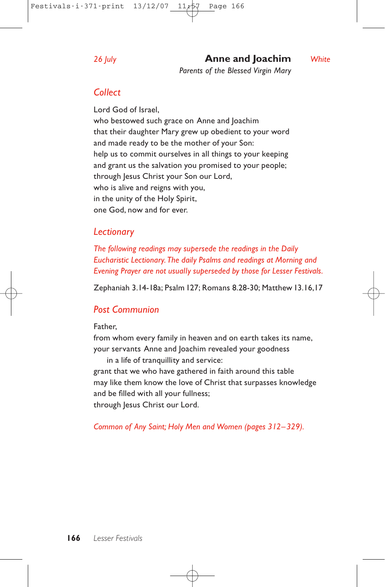### *26 July* **Anne and Joachim** *White*

*Parents of the Blessed Virgin Mary*

### *Collect*

Lord God of Israel,

who bestowed such grace on Anne and Joachim that their daughter Mary grew up obedient to your word and made ready to be the mother of your Son: help us to commit ourselves in all things to your keeping and grant us the salvation you promised to your people; through Jesus Christ your Son our Lord, who is alive and reigns with you, in the unity of the Holy Spirit, one God, now and for ever.

### *Lectionary*

*The following readings may supersede the readings in the Daily Eucharistic Lectionary. The daily Psalms and readings at Morning and Evening Prayer are not usually superseded by those for Lesser Festivals.*

Zephaniah 3.14-18a; Psalm 127; Romans 8.28-30; Matthew 13.16,17

### *Post Communion*

### Father,

from whom every family in heaven and on earth takes its name, your servants Anne and Joachim revealed your goodness

in a life of tranquillity and service: grant that we who have gathered in faith around this table may like them know the love of Christ that surpasses knowledge and be filled with all your fullness; through Jesus Christ our Lord.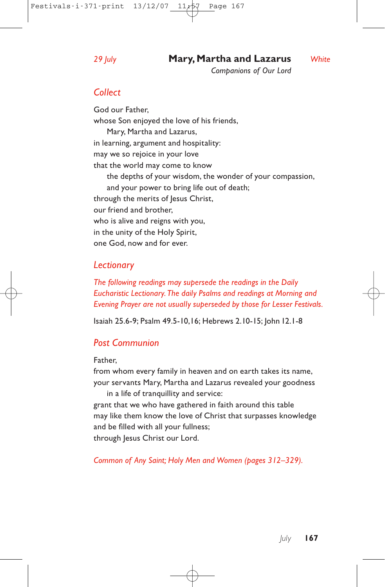### *29 July* **Mary, Martha and Lazarus** *White*

*Companions of Our Lord* 

### *Collect*

God our Father, whose Son enjoyed the love of his friends, Mary, Martha and Lazarus, in learning, argument and hospitality: may we so rejoice in your love that the world may come to know the depths of your wisdom, the wonder of your compassion, and your power to bring life out of death; through the merits of Jesus Christ, our friend and brother, who is alive and reigns with you, in the unity of the Holy Spirit, one God, now and for ever.

### *Lectionary*

*The following readings may supersede the readings in the Daily Eucharistic Lectionary. The daily Psalms and readings at Morning and Evening Prayer are not usually superseded by those for Lesser Festivals.*

Isaiah 25.6-9; Psalm 49.5-10,16; Hebrews 2.10-15; John 12.1-8

### *Post Communion*

Father,

from whom every family in heaven and on earth takes its name, your servants Mary, Martha and Lazarus revealed your goodness in a life of tranquillity and service:

grant that we who have gathered in faith around this table may like them know the love of Christ that surpasses knowledge and be filled with all your fullness; through Jesus Christ our Lord.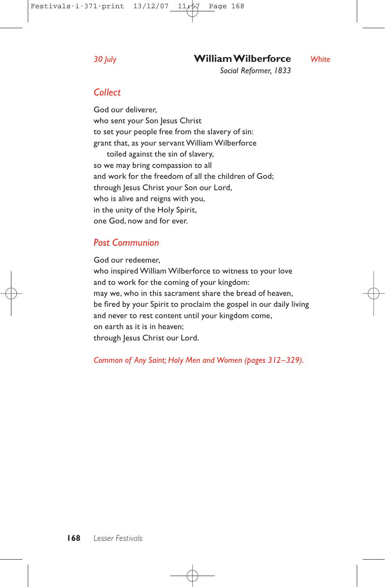### *30 July* **William Wilberforce** *White*

*Social Reformer, 1833*

### *Collect*

God our deliverer, who sent your Son Jesus Christ to set your people free from the slavery of sin: grant that, as your servant William Wilberforce toiled against the sin of slavery, so we may bring compassion to all and work for the freedom of all the children of God; through Jesus Christ your Son our Lord, who is alive and reigns with you, in the unity of the Holy Spirit, one God, now and for ever.

### *Post Communion*

God our redeemer, who inspired William Wilberforce to witness to your love and to work for the coming of your kingdom: may we, who in this sacrament share the bread of heaven, be fired by your Spirit to proclaim the gospel in our daily living and never to rest content until your kingdom come, on earth as it is in heaven; through Jesus Christ our Lord.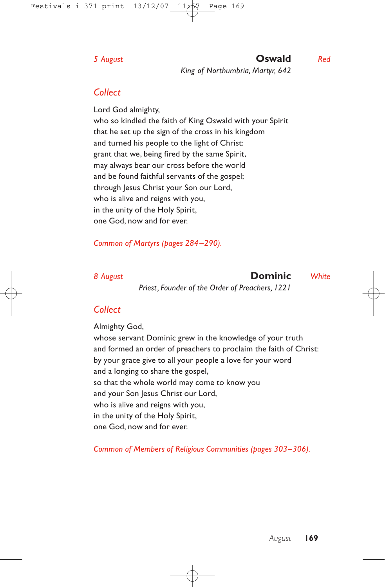### *5 August* **Oswald** *Red*

*King of Northumbria, Martyr, 642*

### *Collect*

Lord God almighty,

who so kindled the faith of King Oswald with your Spirit that he set up the sign of the cross in his kingdom and turned his people to the light of Christ: grant that we, being fired by the same Spirit, may always bear our cross before the world and be found faithful servants of the gospel; through Jesus Christ your Son our Lord, who is alive and reigns with you, in the unity of the Holy Spirit, one God, now and for ever.

### *Common of Martyrs (pages 284–290).*

*8 August* **Dominic** *White Priest, Founder of the Order of Preachers, 1221*

### *Collect*

Almighty God,

whose servant Dominic grew in the knowledge of your truth and formed an order of preachers to proclaim the faith of Christ: by your grace give to all your people a love for your word and a longing to share the gospel, so that the whole world may come to know you and your Son Jesus Christ our Lord, who is alive and reigns with you, in the unity of the Holy Spirit, one God, now and for ever.

*Common of Members of Religious Communities (pages 303–306).*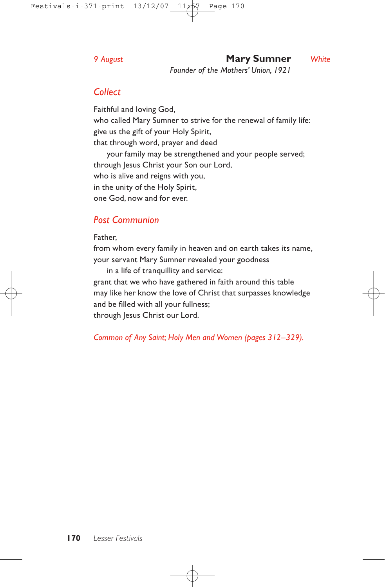### *9 August* **Mary Sumner** *White Founder of the Mothers' Union, 1921*

*Collect*

Faithful and loving God,

who called Mary Sumner to strive for the renewal of family life: give us the gift of your Holy Spirit, that through word, prayer and deed

your family may be strengthened and your people served; through Jesus Christ your Son our Lord, who is alive and reigns with you, in the unity of the Holy Spirit, one God, now and for ever.

### *Post Communion*

### Father,

from whom every family in heaven and on earth takes its name, your servant Mary Sumner revealed your goodness

in a life of tranquillity and service: grant that we who have gathered in faith around this table may like her know the love of Christ that surpasses knowledge and be filled with all your fullness; through Jesus Christ our Lord.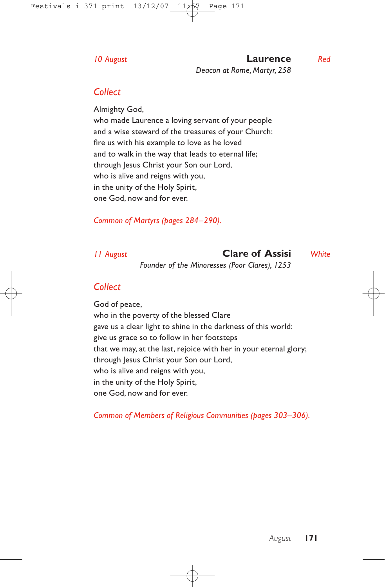### *10 August* **Laurence** *Red Deacon at Rome, Martyr, 258*

### *Collect*

Almighty God,

who made Laurence a loving servant of your people and a wise steward of the treasures of your Church: fire us with his example to love as he loved and to walk in the way that leads to eternal life; through Jesus Christ your Son our Lord, who is alive and reigns with you, in the unity of the Holy Spirit, one God, now and for ever.

### *Common of Martyrs (pages 284–290).*

# *11 August* **Clare of Assisi** *White*

*Founder of the Minoresses (Poor Clares), 1253*

### *Collect*

God of peace, who in the poverty of the blessed Clare gave us a clear light to shine in the darkness of this world: give us grace so to follow in her footsteps that we may, at the last, rejoice with her in your eternal glory; through Jesus Christ your Son our Lord, who is alive and reigns with you, in the unity of the Holy Spirit, one God, now and for ever.

*Common of Members of Religious Communities (pages 303–306).*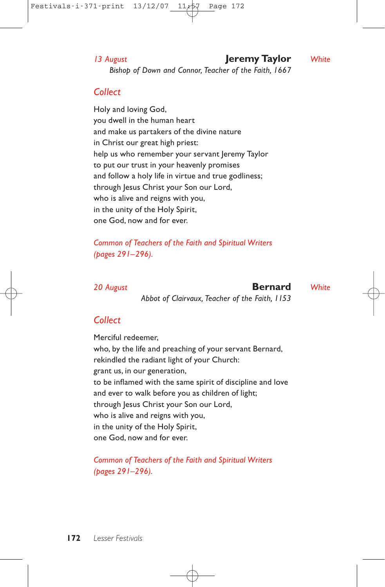# *13 August* **Jeremy Taylor** *White*

*Bishop of Down and Connor, Teacher of the Faith, 1667*

### *Collect*

Holy and loving God, you dwell in the human heart and make us partakers of the divine nature in Christ our great high priest: help us who remember your servant Jeremy Taylor to put our trust in your heavenly promises and follow a holy life in virtue and true godliness; through Jesus Christ your Son our Lord, who is alive and reigns with you, in the unity of the Holy Spirit, one God, now and for ever.

### *Common of Teachers of the Faith and Spiritual Writers (pages 291–296).*

*20 August* **Bernard** *White*

*Abbot of Clairvaux, Teacher of the Faith, 1153*

### *Collect*

Merciful redeemer, who, by the life and preaching of your servant Bernard, rekindled the radiant light of your Church: grant us, in our generation, to be inflamed with the same spirit of discipline and love and ever to walk before you as children of light; through Jesus Christ your Son our Lord, who is alive and reigns with you, in the unity of the Holy Spirit, one God, now and for ever.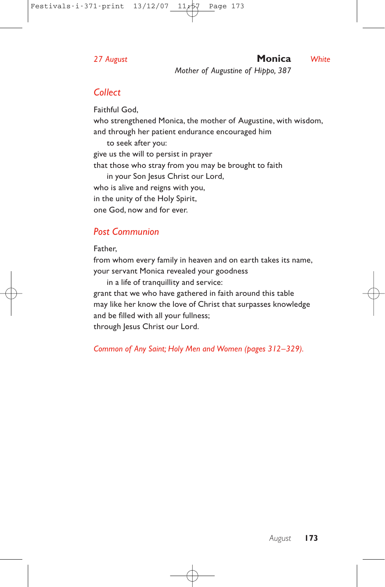### *27 August* **Monica** *White Mother of Augustine of Hippo, 387*

### *Collect*

Faithful God,

who strengthened Monica, the mother of Augustine, with wisdom, and through her patient endurance encouraged him to seek after you: give us the will to persist in prayer that those who stray from you may be brought to faith in your Son Jesus Christ our Lord, who is alive and reigns with you, in the unity of the Holy Spirit, one God, now and for ever.

### *Post Communion*

Father,

from whom every family in heaven and on earth takes its name, your servant Monica revealed your goodness

in a life of tranquillity and service: grant that we who have gathered in faith around this table may like her know the love of Christ that surpasses knowledge and be filled with all your fullness; through Jesus Christ our Lord.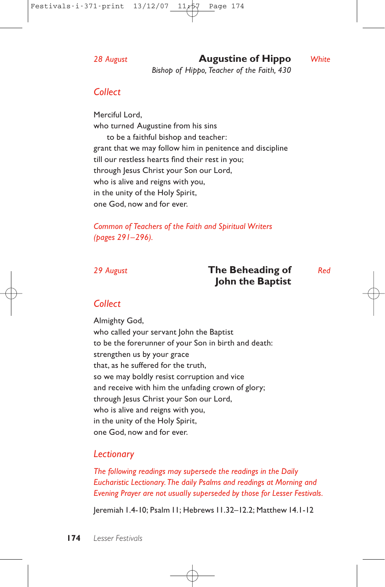### *28 August* **Augustine of Hippo** *White*

*Bishop of Hippo, Teacher of the Faith, 430*

### *Collect*

Merciful Lord, who turned Augustine from his sins to be a faithful bishop and teacher: grant that we may follow him in penitence and discipline till our restless hearts find their rest in you; through Jesus Christ your Son our Lord, who is alive and reigns with you, in the unity of the Holy Spirit, one God, now and for ever.

*Common of Teachers of the Faith and Spiritual Writers (pages 291–296).*

### *29 August* **The Beheading of** *Red* **John the Baptist**

### *Collect*

Almighty God, who called your servant John the Baptist to be the forerunner of your Son in birth and death: strengthen us by your grace that, as he suffered for the truth, so we may boldly resist corruption and vice and receive with him the unfading crown of glory; through Jesus Christ your Son our Lord, who is alive and reigns with you, in the unity of the Holy Spirit, one God, now and for ever.

### *Lectionary*

*The following readings may supersede the readings in the Daily Eucharistic Lectionary. The daily Psalms and readings at Morning and Evening Prayer are not usually superseded by those for Lesser Festivals.*

Jeremiah 1.4-10; Psalm 11; Hebrews 11.32–12.2; Matthew 14.1-12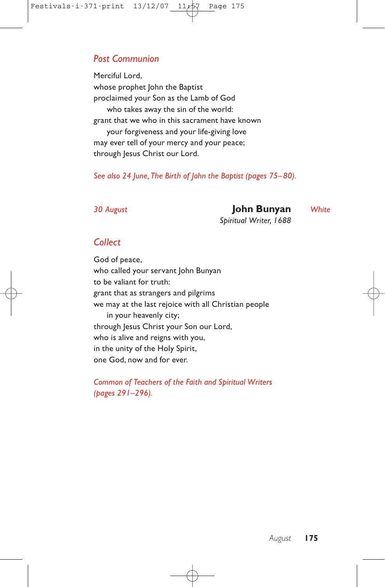### *Post Communion*

Merciful Lord, whose prophet John the Baptist proclaimed your Son as the Lamb of God who takes away the sin of the world: grant that we who in this sacrament have known your forgiveness and your life-giving love may ever tell of your mercy and your peace; through Jesus Christ our Lord.

*See also 24 June, The Birth of John the Baptist (pages 75–80).*

*30 August* **John Bunyan** *White Spiritual Writer, 1688*

### *Collect*

God of peace, who called your servant John Bunyan to be valiant for truth: grant that as strangers and pilgrims we may at the last rejoice with all Christian people in your heavenly city; through Jesus Christ your Son our Lord, who is alive and reigns with you, in the unity of the Holy Spirit, one God, now and for ever.

*Common of Teachers of the Faith and Spiritual Writers (pages 291–296).*

*August* **175**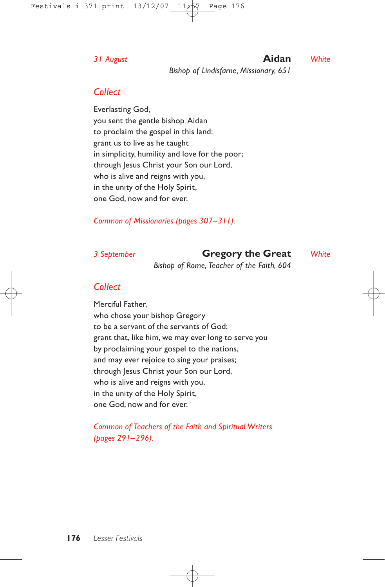*31 August* **Aidan** *White Bishop of Lindisfarne, Missionary, 651*

### *Collect*

Everlasting God, you sent the gentle bishop Aidan to proclaim the gospel in this land: grant us to live as he taught in simplicity, humility and love for the poor; through Jesus Christ your Son our Lord, who is alive and reigns with you, in the unity of the Holy Spirit, one God, now and for ever.

### *Common of Missionaries (pages 307–311).*

## *3 September* **Gregory the Great** *White*

*Bishop of Rome, Teacher of the Faith, 604*

### *Collect*

Merciful Father, who chose your bishop Gregory to be a servant of the servants of God: grant that, like him, we may ever long to serve you by proclaiming your gospel to the nations, and may ever rejoice to sing your praises; through Jesus Christ your Son our Lord, who is alive and reigns with you, in the unity of the Holy Spirit, one God, now and for ever.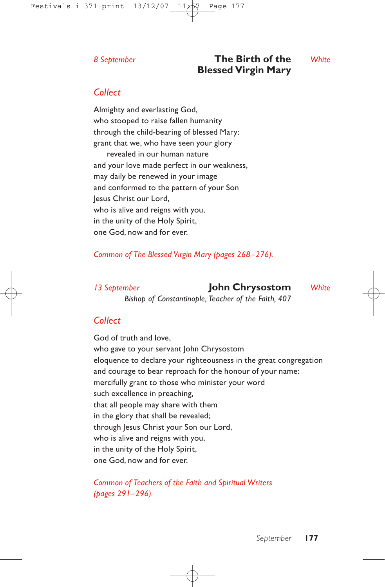# *8 September* **The Birth of the** *White* **Blessed Virgin Mary**

### *Collect*

Almighty and everlasting God, who stooped to raise fallen humanity through the child-bearing of blessed Mary: grant that we, who have seen your glory revealed in our human nature and your love made perfect in our weakness, may daily be renewed in your image and conformed to the pattern of your Son Jesus Christ our Lord, who is alive and reigns with you, in the unity of the Holy Spirit,

one God, now and for ever.

#### *Common of The Blessed Virgin Mary (pages 268–276).*

*13 September* **John Chrysostom** *White*

*Bishop of Constantinople, Teacher of the Faith, 407*

#### *Collect*

God of truth and love, who gave to your servant John Chrysostom eloquence to declare your righteousness in the great congregation and courage to bear reproach for the honour of your name: mercifully grant to those who minister your word such excellence in preaching, that all people may share with them in the glory that shall be revealed; through Jesus Christ your Son our Lord, who is alive and reigns with you, in the unity of the Holy Spirit, one God, now and for ever.

*Common of Teachers of the Faith and Spiritual Writers (pages 291–296).*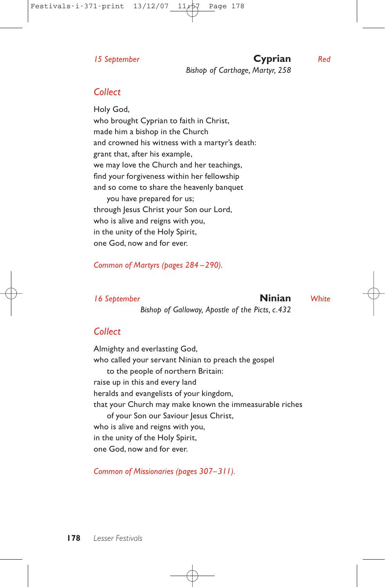#### *15 September* **Cyprian** *Red*

*Bishop of Carthage, Martyr, 258*

### *Collect*

Holy God, who brought Cyprian to faith in Christ, made him a bishop in the Church and crowned his witness with a martyr's death: grant that, after his example, we may love the Church and her teachings, find your forgiveness within her fellowship and so come to share the heavenly banquet you have prepared for us; through Jesus Christ your Son our Lord, who is alive and reigns with you, in the unity of the Holy Spirit, one God, now and for ever.

#### *Common of Martyrs (pages 284 –290).*

*16 September* **Ninian** *White*

*Bishop of Galloway, Apostle of the Picts, c.432*

### *Collect*

Almighty and everlasting God, who called your servant Ninian to preach the gospel to the people of northern Britain: raise up in this and every land heralds and evangelists of your kingdom, that your Church may make known the immeasurable riches of your Son our Saviour Jesus Christ, who is alive and reigns with you, in the unity of the Holy Spirit, one God, now and for ever.

#### *Common of Missionaries (pages 307–311).*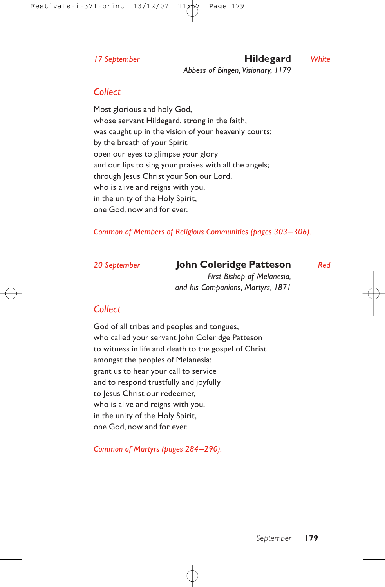# *17 September* **Hildegard** *White*

*Abbess of Bingen, Visionary, 1179*

## *Collect*

Most glorious and holy God, whose servant Hildegard, strong in the faith, was caught up in the vision of your heavenly courts: by the breath of your Spirit open our eyes to glimpse your glory and our lips to sing your praises with all the angels; through Jesus Christ your Son our Lord, who is alive and reigns with you, in the unity of the Holy Spirit, one God, now and for ever.

*Common of Members of Religious Communities (pages 303–306).*

| 20 Sebtember |  |  |
|--------------|--|--|
|              |  |  |

# **20 John Coleridge Patteson** Red

*First Bishop of Melanesia, and his Companions, Martyrs, 1871*

### *Collect*

God of all tribes and peoples and tongues, who called your servant John Coleridge Patteson to witness in life and death to the gospel of Christ amongst the peoples of Melanesia: grant us to hear your call to service and to respond trustfully and joyfully to Jesus Christ our redeemer, who is alive and reigns with you, in the unity of the Holy Spirit, one God, now and for ever.

*Common of Martyrs (pages 284–290).*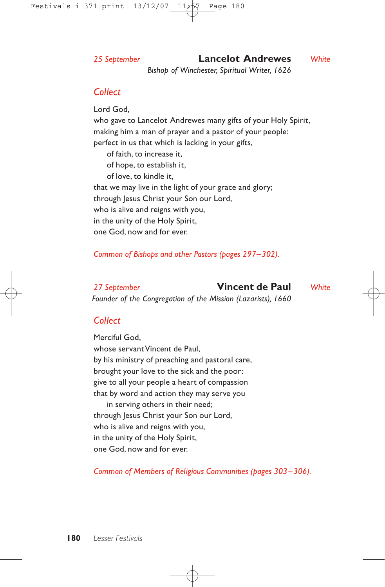### *25 September* **Lancelot Andrewes** *White*

*Bishop of Winchester, Spiritual Writer, 1626*

#### *Collect*

Lord God,

who gave to Lancelot Andrewes many gifts of your Holy Spirit, making him a man of prayer and a pastor of your people: perfect in us that which is lacking in your gifts,

of faith, to increase it, of hope, to establish it, of love, to kindle it, that we may live in the light of your grace and glory; through Jesus Christ your Son our Lord, who is alive and reigns with you, in the unity of the Holy Spirit, one God, now and for ever.

#### *Common of Bishops and other Pastors (pages 297–302).*

*27 September* **Vincent de Paul** *White Founder of the Congregation of the Mission (Lazarists), 1660*

#### *Collect*

Merciful God, whose servant Vincent de Paul, by his ministry of preaching and pastoral care, brought your love to the sick and the poor: give to all your people a heart of compassion that by word and action they may serve you in serving others in their need; through Jesus Christ your Son our Lord, who is alive and reigns with you,

in the unity of the Holy Spirit,

one God, now and for ever.

*Common of Members of Religious Communities (pages 303–306).*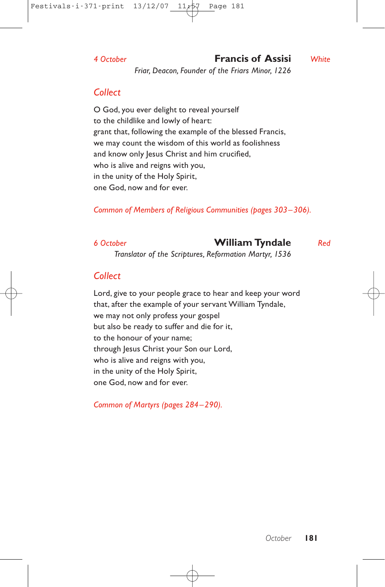# *4 October* **Francis of Assisi** *White*

*Friar, Deacon, Founder of the Friars Minor, 1226*

#### *Collect*

O God, you ever delight to reveal yourself to the childlike and lowly of heart: grant that, following the example of the blessed Francis, we may count the wisdom of this world as foolishness and know only Jesus Christ and him crucified, who is alive and reigns with you, in the unity of the Holy Spirit, one God, now and for ever.

#### *Common of Members of Religious Communities (pages 303–306).*

| 6 October                                              | <b>William Tyndale</b> | Red |
|--------------------------------------------------------|------------------------|-----|
| Translator of the Scriptures, Reformation Martyr, 1536 |                        |     |

### *Collect*

Lord, give to your people grace to hear and keep your word that, after the example of your servant William Tyndale, we may not only profess your gospel but also be ready to suffer and die for it, to the honour of your name; through Jesus Christ your Son our Lord, who is alive and reigns with you, in the unity of the Holy Spirit, one God, now and for ever.

*Common of Martyrs (pages 284–290).*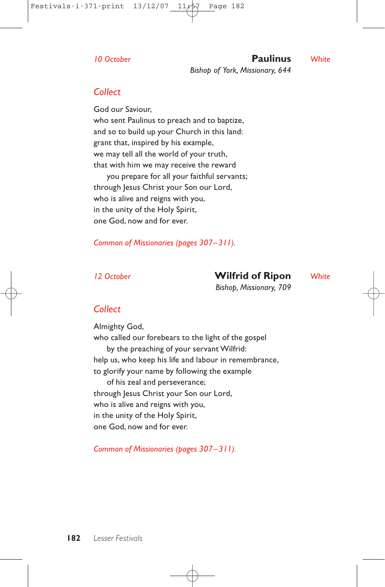#### *10 October* **Paulinus** *White*

*Bishop of York, Missionary, 644*

### *Collect*

God our Saviour,

who sent Paulinus to preach and to baptize, and so to build up your Church in this land: grant that, inspired by his example, we may tell all the world of your truth, that with him we may receive the reward

you prepare for all your faithful servants; through Jesus Christ your Son our Lord, who is alive and reigns with you, in the unity of the Holy Spirit, one God, now and for ever.

*Common of Missionaries (pages 307–311).*

## *12 October* **Wilfrid of Ripon** *White Bishop, Missionary, 709*

# *Collect*

Almighty God, who called our forebears to the light of the gospel by the preaching of your servant Wilfrid: help us, who keep his life and labour in remembrance, to glorify your name by following the example of his zeal and perseverance; through Jesus Christ your Son our Lord, who is alive and reigns with you, in the unity of the Holy Spirit, one God, now and for ever.

*Common of Missionaries (pages 307–311).*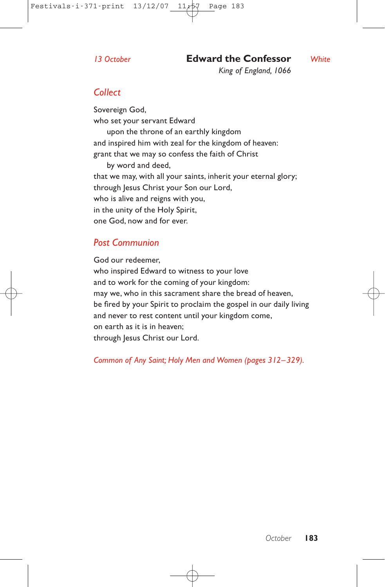# *13 October* **Edward the Confessor** *White*

*King of England, 1066*

## *Collect*

Sovereign God, who set your servant Edward upon the throne of an earthly kingdom and inspired him with zeal for the kingdom of heaven: grant that we may so confess the faith of Christ by word and deed, that we may, with all your saints, inherit your eternal glory; through Jesus Christ your Son our Lord, who is alive and reigns with you, in the unity of the Holy Spirit, one God, now and for ever.

#### *Post Communion*

God our redeemer, who inspired Edward to witness to your love and to work for the coming of your kingdom: may we, who in this sacrament share the bread of heaven, be fired by your Spirit to proclaim the gospel in our daily living and never to rest content until your kingdom come, on earth as it is in heaven; through Jesus Christ our Lord.

*Common of Any Saint; Holy Men and Women (pages 312–329).*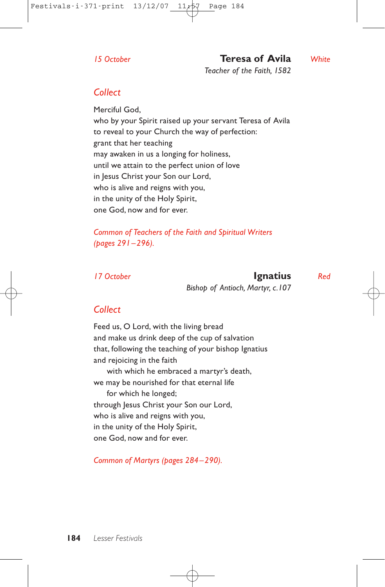# *15 October* **Teresa of Avila** *White*

*Teacher of the Faith, 1582* 

### *Collect*

Merciful God,

who by your Spirit raised up your servant Teresa of Avila to reveal to your Church the way of perfection: grant that her teaching may awaken in us a longing for holiness, until we attain to the perfect union of love in Jesus Christ your Son our Lord, who is alive and reigns with you, in the unity of the Holy Spirit, one God, now and for ever.

*Common of Teachers of the Faith and Spiritual Writers (pages 291–296).*

*17 October* **Ignatius** *Red Bishop of Antioch, Martyr, c.107*

#### *Collect*

Feed us, O Lord, with the living bread and make us drink deep of the cup of salvation that, following the teaching of your bishop Ignatius and rejoicing in the faith with which he embraced a martyr's death, we may be nourished for that eternal life for which he longed; through Jesus Christ your Son our Lord, who is alive and reigns with you, in the unity of the Holy Spirit, one God, now and for ever.

*Common of Martyrs (pages 284–290).*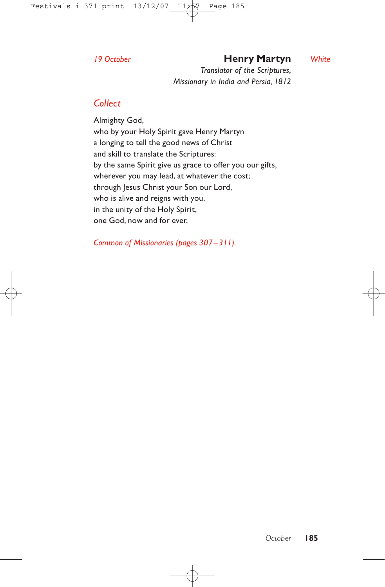# *19 October* **Henry Martyn** *White*

*Translator of the Scriptures, Missionary in India and Persia, 1812*

### *Collect*

Almighty God, who by your Holy Spirit gave Henry Martyn a longing to tell the good news of Christ and skill to translate the Scriptures: by the same Spirit give us grace to offer you our gifts, wherever you may lead, at whatever the cost; through Jesus Christ your Son our Lord, who is alive and reigns with you, in the unity of the Holy Spirit, one God, now and for ever.

*Common of Missionaries (pages 307–311).*

*October* **185**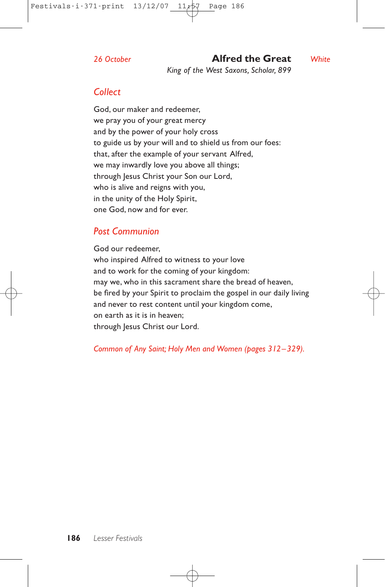## *26 October* **Alfred the Great** *White*

*King of the West Saxons, Scholar, 899*

### *Collect*

God, our maker and redeemer, we pray you of your great mercy and by the power of your holy cross to guide us by your will and to shield us from our foes: that, after the example of your servant Alfred, we may inwardly love you above all things; through Jesus Christ your Son our Lord, who is alive and reigns with you, in the unity of the Holy Spirit, one God, now and for ever.

## *Post Communion*

God our redeemer, who inspired Alfred to witness to your love and to work for the coming of your kingdom: may we, who in this sacrament share the bread of heaven, be fired by your Spirit to proclaim the gospel in our daily living and never to rest content until your kingdom come, on earth as it is in heaven; through Jesus Christ our Lord.

*Common of Any Saint; Holy Men and Women (pages 312–329).*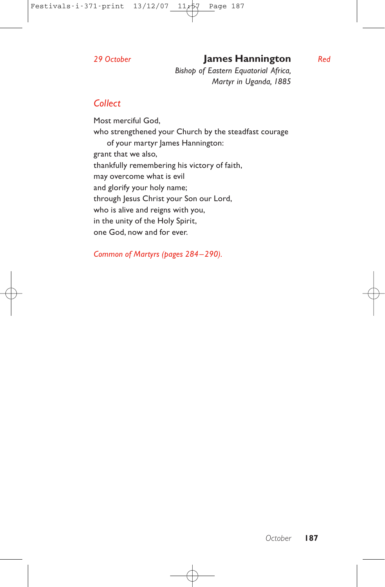#### *29 October* **James Hannington** *Red*

*Bishop of Eastern Equatorial Africa, Martyr in Uganda, 1885*

### *Collect*

Most merciful God, who strengthened your Church by the steadfast courage of your martyr James Hannington: grant that we also, thankfully remembering his victory of faith, may overcome what is evil and glorify your holy name; through Jesus Christ your Son our Lord, who is alive and reigns with you, in the unity of the Holy Spirit, one God, now and for ever.

*Common of Martyrs (pages 284–290).*

*October* **187**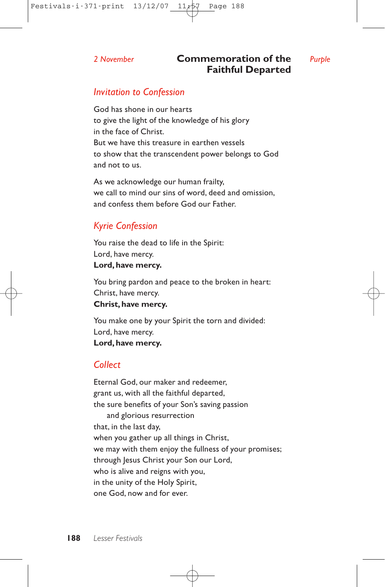# *2 November* **Commemoration of the** *Purple* **Faithful Departed**

#### *Invitation to Confession*

God has shone in our hearts to give the light of the knowledge of his glory in the face of Christ. But we have this treasure in earthen vessels to show that the transcendent power belongs to God and not to us.

As we acknowledge our human frailty, we call to mind our sins of word, deed and omission, and confess them before God our Father.

#### *Kyrie Confession*

You raise the dead to life in the Spirit: Lord, have mercy. **Lord, have mercy.**

You bring pardon and peace to the broken in heart: Christ, have mercy. **Christ, have mercy.**

You make one by your Spirit the torn and divided: Lord, have mercy. **Lord, have mercy.**

# *Collect*

Eternal God, our maker and redeemer, grant us, with all the faithful departed, the sure benefits of your Son's saving passion and glorious resurrection that, in the last day, when you gather up all things in Christ, we may with them enjoy the fullness of your promises; through Jesus Christ your Son our Lord, who is alive and reigns with you, in the unity of the Holy Spirit, one God, now and for ever.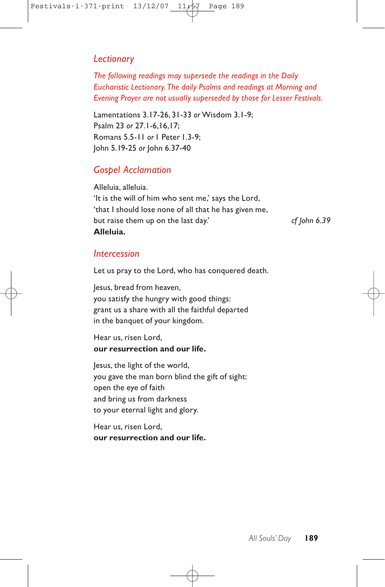#### *Lectionary*

*The following readings may supersede the readings in the Daily Eucharistic Lectionary. The daily Psalms and readings at Morning and Evening Prayer are not usually superseded by those for Lesser Festivals.*

Lamentations 3.17-26, 31-33 *or* Wisdom 3.1-9; Psalm 23 *or* 27.1-6,16,17; Romans 5.5-11 *or* 1 Peter 1.3-9; John 5.19-25 *or* John 6.37-40

#### *Gospel Acclamation*

Alleluia, alleluia. 'It is the will of him who sent me,' says the Lord, 'that I should lose none of all that he has given me, but raise them up on the last day.' *cf John 6.39* **Alleluia.**

#### *Intercession*

Let us pray to the Lord, who has conquered death.

Jesus, bread from heaven, you satisfy the hungry with good things: grant us a share with all the faithful departed in the banquet of your kingdom.

### Hear us, risen Lord, **our resurrection and our life.**

Jesus, the light of the world, you gave the man born blind the gift of sight: open the eye of faith and bring us from darkness to your eternal light and glory.

Hear us, risen Lord, **our resurrection and our life.**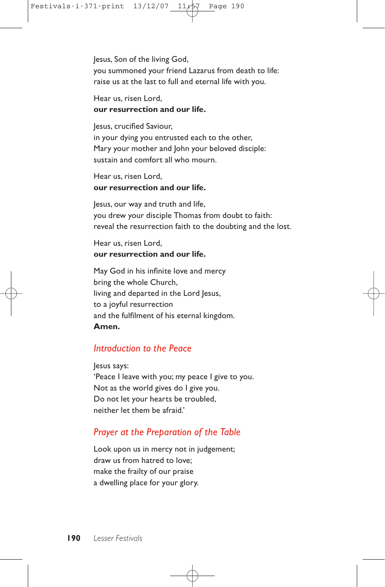Jesus, Son of the living God, you summoned your friend Lazarus from death to life: raise us at the last to full and eternal life with you.

Hear us, risen Lord, **our resurrection and our life.**

Jesus, crucified Saviour, in your dying you entrusted each to the other, Mary your mother and John your beloved disciple: sustain and comfort all who mourn.

Hear us, risen Lord, **our resurrection and our life.**

Jesus, our way and truth and life, you drew your disciple Thomas from doubt to faith: reveal the resurrection faith to the doubting and the lost.

Hear us, risen Lord, **our resurrection and our life.**

May God in his infinite love and mercy bring the whole Church, living and departed in the Lord Jesus, to a joyful resurrection and the fulfilment of his eternal kingdom. **Amen.**

# *Introduction to the Peace*

Jesus says:

'Peace I leave with you; my peace I give to you. Not as the world gives do I give you. Do not let your hearts be troubled, neither let them be afraid.'

### *Prayer at the Preparation of the Table*

Look upon us in mercy not in judgement; draw us from hatred to love; make the frailty of our praise a dwelling place for your glory.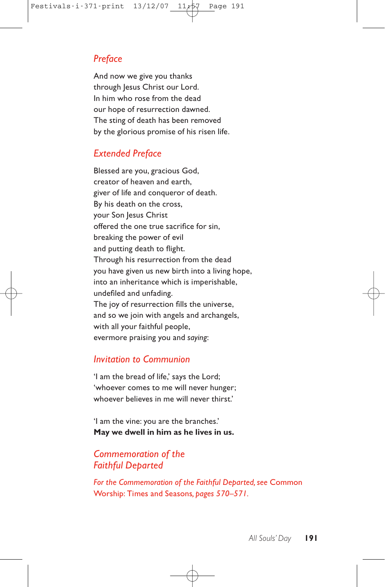## *Preface*

And now we give you thanks through Jesus Christ our Lord. In him who rose from the dead our hope of resurrection dawned. The sting of death has been removed by the glorious promise of his risen life.

#### *Extended Preface*

Blessed are you, gracious God, creator of heaven and earth, giver of life and conqueror of death. By his death on the cross, your Son Jesus Christ offered the one true sacrifice for sin, breaking the power of evil and putting death to flight. Through his resurrection from the dead you have given us new birth into a living hope, into an inheritance which is imperishable, undefiled and unfading. The joy of resurrection fills the universe, and so we join with angels and archangels, with all your faithful people, evermore praising you and *saying*:

#### *Invitation to Communion*

'I am the bread of life,' says the Lord; 'whoever comes to me will never hunger; whoever believes in me will never thirst.'

'I am the vine: you are the branches.' **May we dwell in him as he lives in us.**

## *Commemoration of the Faithful Departed*

*For the Commemoration of the Faithful Departed, see* Common Worship: Times and Seasons*, pages 570–571.*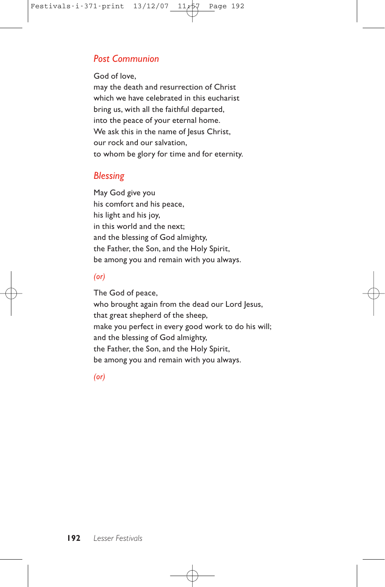## *Post Communion*

#### God of love,

may the death and resurrection of Christ which we have celebrated in this eucharist bring us, with all the faithful departed, into the peace of your eternal home. We ask this in the name of Jesus Christ, our rock and our salvation, to whom be glory for time and for eternity.

#### *Blessing*

May God give you his comfort and his peace, his light and his joy, in this world and the next; and the blessing of God almighty, the Father, the Son, and the Holy Spirit, be among you and remain with you always.

#### *(or)*

The God of peace, who brought again from the dead our Lord Jesus, that great shepherd of the sheep, make you perfect in every good work to do his will; and the blessing of God almighty, the Father, the Son, and the Holy Spirit, be among you and remain with you always.

*(or)*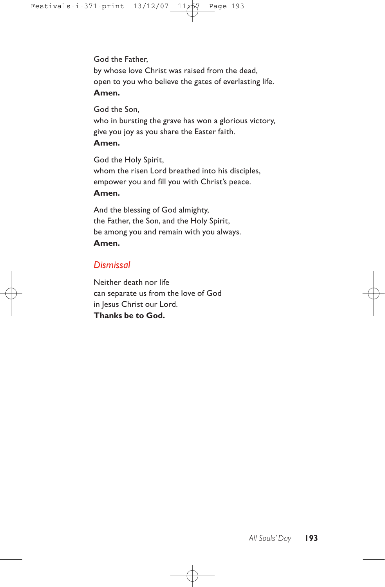God the Father, by whose love Christ was raised from the dead, open to you who believe the gates of everlasting life. **Amen.**

God the Son,

who in bursting the grave has won a glorious victory, give you joy as you share the Easter faith. **Amen.**

God the Holy Spirit, whom the risen Lord breathed into his disciples, empower you and fill you with Christ's peace.

### **Amen.**

And the blessing of God almighty, the Father, the Son, and the Holy Spirit, be among you and remain with you always. **Amen.**

### *Dismissal*

Neither death nor life can separate us from the love of God in Jesus Christ our Lord. **Thanks be to God.**

*All Souls' Day* **193**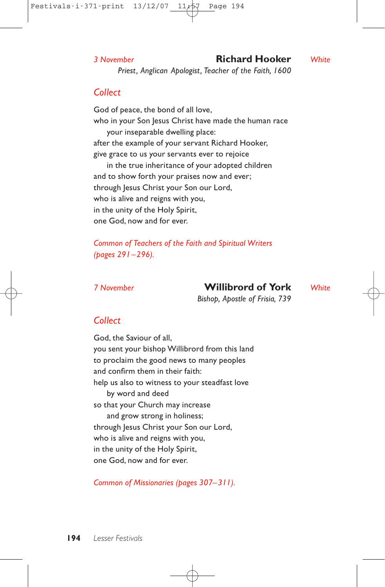*3 November* **Richard Hooker** *White Priest, Anglican Apologist, Teacher of the Faith, 1600*

#### *Collect*

God of peace, the bond of all love, who in your Son Jesus Christ have made the human race your inseparable dwelling place: after the example of your servant Richard Hooker, give grace to us your servants ever to rejoice in the true inheritance of your adopted children and to show forth your praises now and ever; through Jesus Christ your Son our Lord, who is alive and reigns with you, in the unity of the Holy Spirit, one God, now and for ever.

*Common of Teachers of the Faith and Spiritual Writers (pages 291–296).*

*7 November* **Willibrord of York** *White Bishop, Apostle of Frisia, 739* 

#### *Collect*

God, the Saviour of all, you sent your bishop Willibrord from this land to proclaim the good news to many peoples and confirm them in their faith: help us also to witness to your steadfast love by word and deed so that your Church may increase and grow strong in holiness; through Jesus Christ your Son our Lord, who is alive and reigns with you, in the unity of the Holy Spirit, one God, now and for ever.

*Common of Missionaries (pages 307–311).*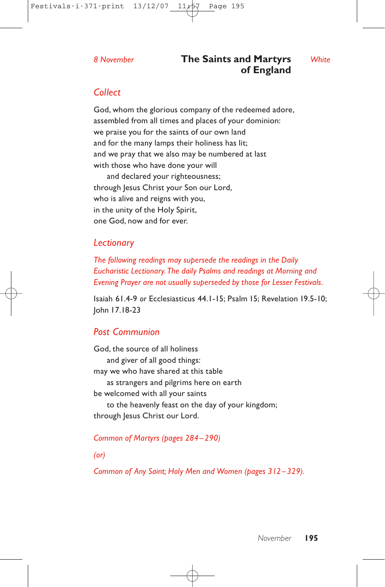# *8 November* **The Saints and Martyrs** *White* **of England**

#### *Collect*

God, whom the glorious company of the redeemed adore, assembled from all times and places of your dominion: we praise you for the saints of our own land and for the many lamps their holiness has lit; and we pray that we also may be numbered at last with those who have done your will

and declared your righteousness; through Jesus Christ your Son our Lord, who is alive and reigns with you, in the unity of the Holy Spirit, one God, now and for ever.

#### *Lectionary*

*The following readings may supersede the readings in the Daily Eucharistic Lectionary. The daily Psalms and readings at Morning and Evening Prayer are not usually superseded by those for Lesser Festivals.*

Isaiah 61.4-9 *or* Ecclesiasticus 44.1-15; Psalm 15; Revelation 19.5-10; John 17.18-23

#### *Post Communion*

God, the source of all holiness and giver of all good things: may we who have shared at this table as strangers and pilgrims here on earth be welcomed with all your saints to the heavenly feast on the day of your kingdom; through Jesus Christ our Lord.

#### *Common of Martyrs (pages 284–290)*

*(or)*

*Common of Any Saint; Holy Men and Women (pages 312–329).*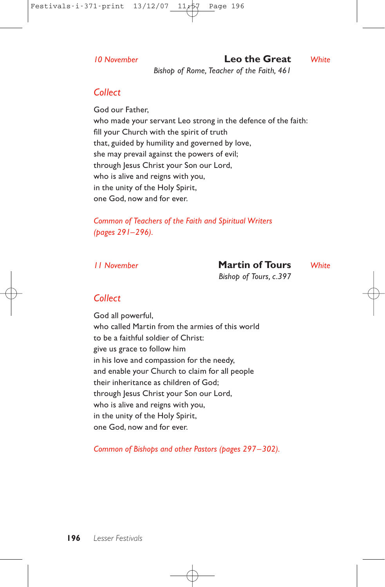### *10 November* **Leo the Great** *White*

*Bishop of Rome, Teacher of the Faith, 461*

#### *Collect*

God our Father,

who made your servant Leo strong in the defence of the faith: fill your Church with the spirit of truth that, guided by humility and governed by love, she may prevail against the powers of evil; through Jesus Christ your Son our Lord, who is alive and reigns with you, in the unity of the Holy Spirit, one God, now and for ever.

*Common of Teachers of the Faith and Spiritual Writers (pages 291–296).*

### *11 November* **Martin of Tours** *White Bishop of Tours, c.397*

#### *Collect*

God all powerful, who called Martin from the armies of this world to be a faithful soldier of Christ: give us grace to follow him in his love and compassion for the needy, and enable your Church to claim for all people their inheritance as children of God; through Jesus Christ your Son our Lord, who is alive and reigns with you, in the unity of the Holy Spirit, one God, now and for ever.

*Common of Bishops and other Pastors (pages 297–302).*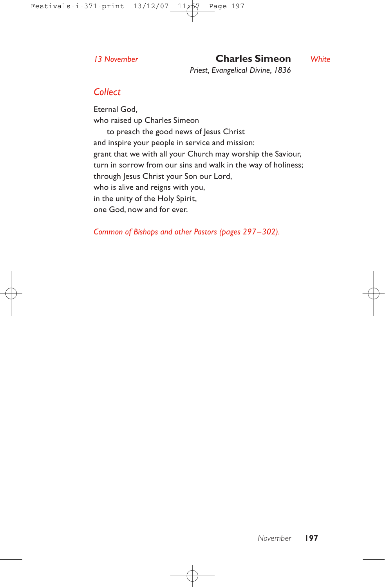# *13 November* **Charles Simeon** *White*

*Priest, Evangelical Divine, 1836*

# *Collect*

Eternal God, who raised up Charles Simeon to preach the good news of Jesus Christ and inspire your people in service and mission: grant that we with all your Church may worship the Saviour, turn in sorrow from our sins and walk in the way of holiness; through Jesus Christ your Son our Lord, who is alive and reigns with you, in the unity of the Holy Spirit, one God, now and for ever.

*Common of Bishops and other Pastors (pages 297–302).*

*November* **197**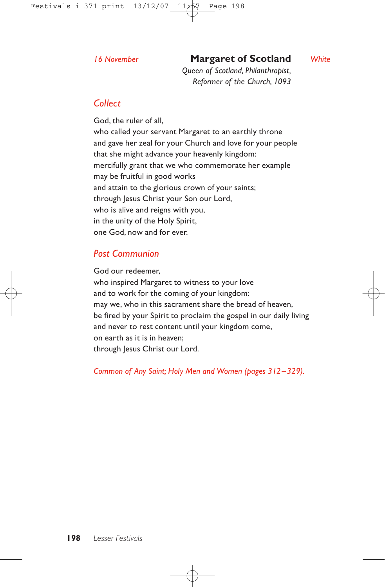# *16 November* **Margaret of Scotland** *White*

*Queen of Scotland, Philanthropist, Reformer of the Church, 1093*

### *Collect*

God, the ruler of all, who called your servant Margaret to an earthly throne and gave her zeal for your Church and love for your people that she might advance your heavenly kingdom: mercifully grant that we who commemorate her example may be fruitful in good works and attain to the glorious crown of your saints; through Jesus Christ your Son our Lord, who is alive and reigns with you, in the unity of the Holy Spirit, one God, now and for ever.

## *Post Communion*

God our redeemer, who inspired Margaret to witness to your love and to work for the coming of your kingdom: may we, who in this sacrament share the bread of heaven, be fired by your Spirit to proclaim the gospel in our daily living and never to rest content until your kingdom come, on earth as it is in heaven; through Jesus Christ our Lord.

*Common of Any Saint; Holy Men and Women (pages 312–329).*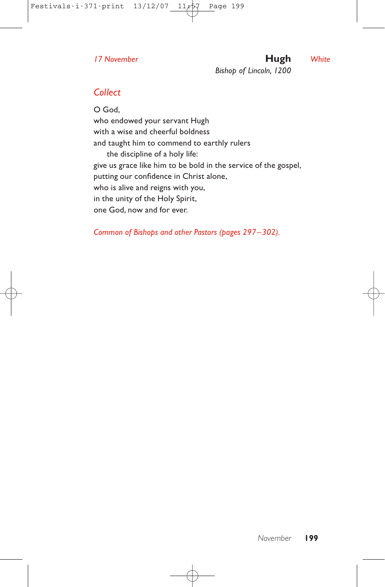# *17 November* **Hugh** *White*

*Bishop of Lincoln, 1200*

## *Collect*

O God,

who endowed your servant Hugh with a wise and cheerful boldness and taught him to commend to earthly rulers the discipline of a holy life: give us grace like him to be bold in the service of the gospel, putting our confidence in Christ alone, who is alive and reigns with you, in the unity of the Holy Spirit, one God, now and for ever.

*Common of Bishops and other Pastors (pages 297–302).*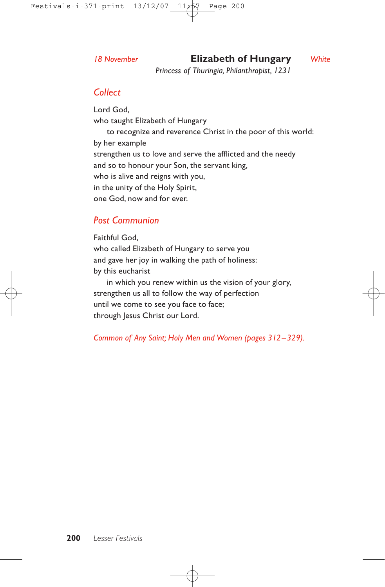### *18 November* **Elizabeth of Hungary** *White*

*Princess of Thuringia, Philanthropist, 1231*

#### *Collect*

Lord God, who taught Elizabeth of Hungary to recognize and reverence Christ in the poor of this world: by her example strengthen us to love and serve the afflicted and the needy and so to honour your Son, the servant king, who is alive and reigns with you, in the unity of the Holy Spirit, one God, now and for ever.

## *Post Communion*

Faithful God, who called Elizabeth of Hungary to serve you and gave her joy in walking the path of holiness: by this eucharist in which you renew within us the vision of your glory, strengthen us all to follow the way of perfection until we come to see you face to face; through Jesus Christ our Lord.

*Common of Any Saint; Holy Men and Women (pages 312–329).*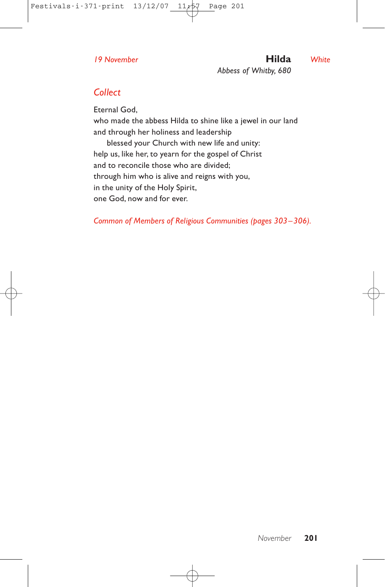#### *19 November* **Hilda** *White*

*Abbess of Whitby, 680*

### *Collect*

Eternal God,

who made the abbess Hilda to shine like a jewel in our land and through her holiness and leadership blessed your Church with new life and unity:

help us, like her, to yearn for the gospel of Christ and to reconcile those who are divided; through him who is alive and reigns with you, in the unity of the Holy Spirit, one God, now and for ever.

*Common of Members of Religious Communities (pages 303–306).*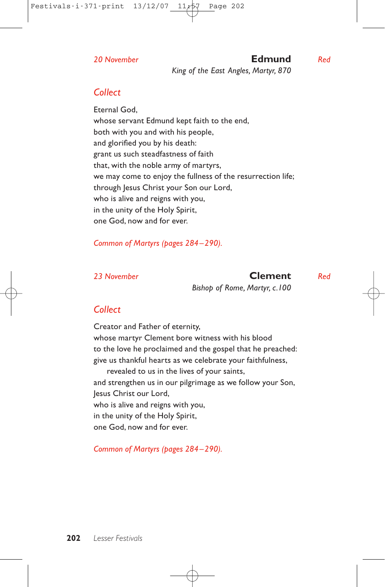# *20 November* **Edmund** *Red*

*King of the East Angles, Martyr, 870*

#### *Collect*

Eternal God, whose servant Edmund kept faith to the end, both with you and with his people, and glorified you by his death: grant us such steadfastness of faith that, with the noble army of martyrs, we may come to enjoy the fullness of the resurrection life; through Jesus Christ your Son our Lord, who is alive and reigns with you, in the unity of the Holy Spirit, one God, now and for ever.

#### *Common of Martyrs (pages 284–290).*

*23 November* **Clement** *Red Bishop of Rome, Martyr, c.100*

*Collect*

Creator and Father of eternity, whose martyr Clement bore witness with his blood to the love he proclaimed and the gospel that he preached: give us thankful hearts as we celebrate your faithfulness, revealed to us in the lives of your saints, and strengthen us in our pilgrimage as we follow your Son,

Jesus Christ our Lord, who is alive and reigns with you, in the unity of the Holy Spirit, one God, now and for ever.

*Common of Martyrs (pages 284–290).*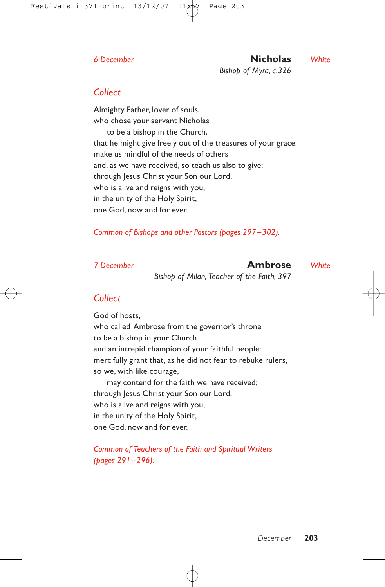# *6 December* **Nicholas** *White*

*Bishop of Myra, c.326*

### *Collect*

Almighty Father, lover of souls, who chose your servant Nicholas to be a bishop in the Church, that he might give freely out of the treasures of your grace: make us mindful of the needs of others and, as we have received, so teach us also to give; through Jesus Christ your Son our Lord, who is alive and reigns with you, in the unity of the Holy Spirit, one God, now and for ever.

#### *Common of Bishops and other Pastors (pages 297–302).*

| 7 December | Ambrose                                    | White |
|------------|--------------------------------------------|-------|
|            | Bishop of Milan, Teacher of the Faith, 397 |       |

### *Collect*

God of hosts, who called Ambrose from the governor's throne to be a bishop in your Church and an intrepid champion of your faithful people: mercifully grant that, as he did not fear to rebuke rulers, so we, with like courage, may contend for the faith we have received;

through Jesus Christ your Son our Lord, who is alive and reigns with you, in the unity of the Holy Spirit, one God, now and for ever.

*Common of Teachers of the Faith and Spiritual Writers (pages 291–296).*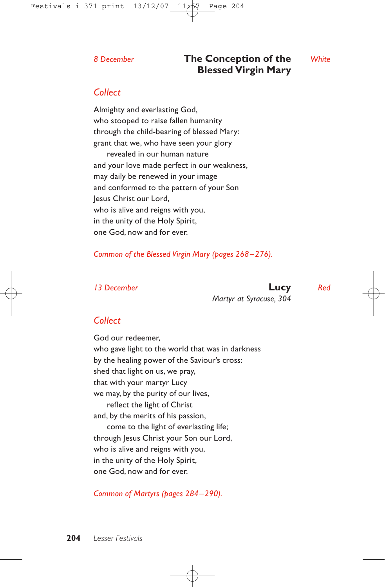## *8 December* **The Conception of the** *White* **Blessed Virgin Mary**

### *Collect*

Almighty and everlasting God, who stooped to raise fallen humanity through the child-bearing of blessed Mary: grant that we, who have seen your glory revealed in our human nature and your love made perfect in our weakness, may daily be renewed in your image and conformed to the pattern of your Son Jesus Christ our Lord, who is alive and reigns with you, in the unity of the Holy Spirit, one God, now and for ever.

#### *Common of the Blessed Virgin Mary (pages 268–276).*

| 13 December | Lucy<br>Red             |  |
|-------------|-------------------------|--|
|             | Martyr at Syracuse, 304 |  |

#### *Collect*

God our redeemer, who gave light to the world that was in darkness by the healing power of the Saviour's cross: shed that light on us, we pray, that with your martyr Lucy we may, by the purity of our lives, reflect the light of Christ and, by the merits of his passion, come to the light of everlasting life; through Jesus Christ your Son our Lord, who is alive and reigns with you,

in the unity of the Holy Spirit,

one God, now and for ever.

*Common of Martyrs (pages 284–290).*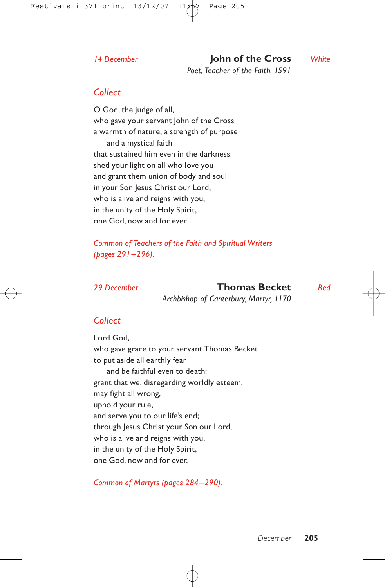### *14 December* **John of the Cross** *White*

*Poet, Teacher of the Faith, 1591*

## *Collect*

O God, the judge of all, who gave your servant John of the Cross a warmth of nature, a strength of purpose and a mystical faith that sustained him even in the darkness: shed your light on all who love you and grant them union of body and soul in your Son Jesus Christ our Lord, who is alive and reigns with you, in the unity of the Holy Spirit, one God, now and for ever.

*Common of Teachers of the Faith and Spiritual Writers (pages 291–296).*

| 29 December | <b>Thomas Becket</b>                   | Red |
|-------------|----------------------------------------|-----|
|             | Archbishop of Canterbury, Martyr, 1170 |     |

## *Collect*

Lord God, who gave grace to your servant Thomas Becket to put aside all earthly fear and be faithful even to death: grant that we, disregarding worldly esteem, may fight all wrong, uphold your rule, and serve you to our life's end; through Jesus Christ your Son our Lord, who is alive and reigns with you, in the unity of the Holy Spirit, one God, now and for ever.

*Common of Martyrs (pages 284–290).*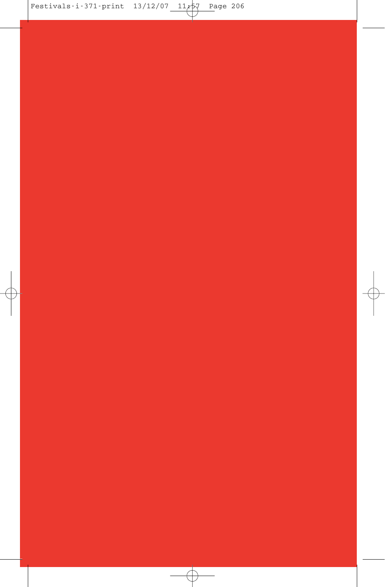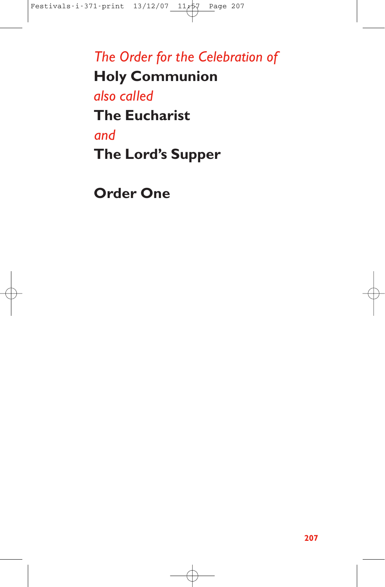*The Order for the Celebration of* **Holy Communion** *also called*  **The Eucharist**  *and*  **The Lord's Supper**

**Order One**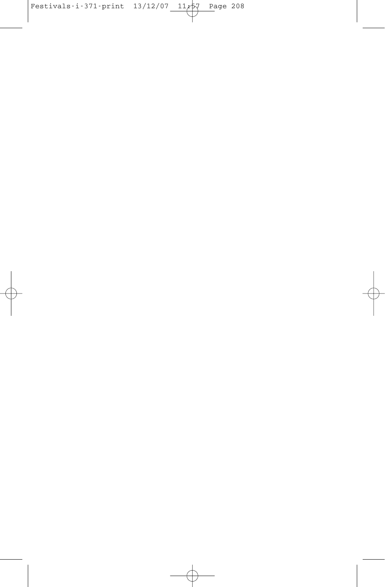$\color{red}\varphi$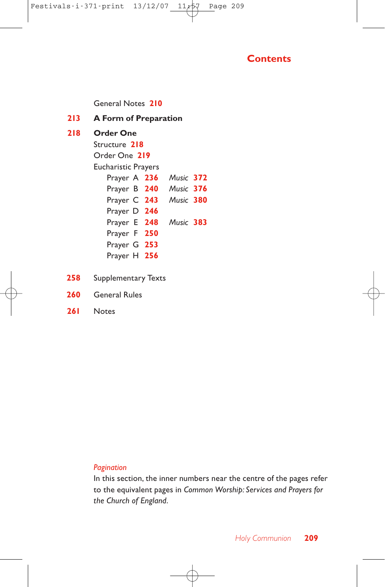### **Contents**

General Notes **210**

#### **213 A Form of Preparation**

- **218 Order One** Structure **218** Order One **219** Eucharistic Prayers Prayer A **236** *Music* **372** Prayer B **240** *Music* **376** Prayer C **243** *Music* **380** Prayer D **246** Prayer E **248** *Music* **383** Prayer F **250** Prayer G **253** Prayer H **256**
- **258** Supplementary Texts
- **260** General Rules
- **261** Notes

#### *Pagination*

In this section, the inner numbers near the centre of the pages refer to the equivalent pages in *Common Worship: Services and Prayers for the Church of England*.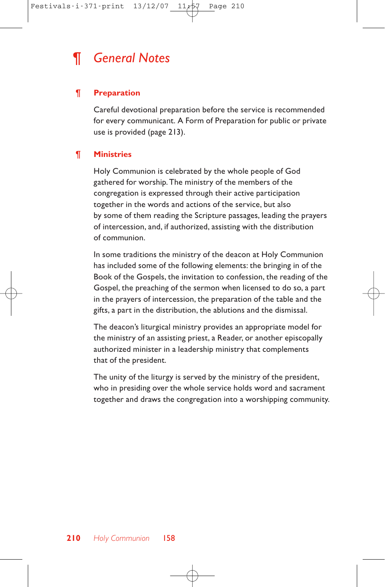# *¶ General Notes*

#### ¶ **Preparation**

Careful devotional preparation before the service is recommended for every communicant. A Form of Preparation for public or private use is provided (page 213).

#### ¶ **Ministries**

Holy Communion is celebrated by the whole people of God gathered for worship. The ministry of the members of the congregation is expressed through their active participation together in the words and actions of the service, but also by some of them reading the Scripture passages, leading the prayers of intercession, and, if authorized, assisting with the distribution of communion.

In some traditions the ministry of the deacon at Holy Communion has included some of the following elements: the bringing in of the Book of the Gospels, the invitation to confession, the reading of the Gospel, the preaching of the sermon when licensed to do so, a part in the prayers of intercession, the preparation of the table and the gifts, a part in the distribution, the ablutions and the dismissal.

The deacon's liturgical ministry provides an appropriate model for the ministry of an assisting priest, a Reader, or another episcopally authorized minister in a leadership ministry that complements that of the president.

The unity of the liturgy is served by the ministry of the president, who in presiding over the whole service holds word and sacrament together and draws the congregation into a worshipping community.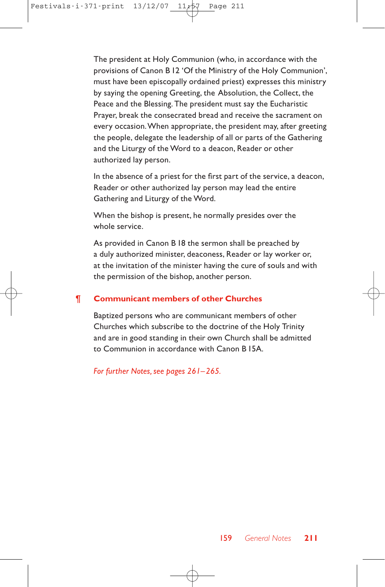The president at Holy Communion (who, in accordance with the provisions of Canon B 12 'Of the Ministry of the Holy Communion', must have been episcopally ordained priest) expresses this ministry by saying the opening Greeting, the Absolution, the Collect, the Peace and the Blessing. The president must say the Eucharistic Prayer, break the consecrated bread and receive the sacrament on every occasion.When appropriate, the president may, after greeting the people, delegate the leadership of all or parts of the Gathering and the Liturgy of the Word to a deacon, Reader or other authorized lay person.

In the absence of a priest for the first part of the service, a deacon, Reader or other authorized lay person may lead the entire Gathering and Liturgy of the Word.

When the bishop is present, he normally presides over the whole service.

As provided in Canon B 18 the sermon shall be preached by a duly authorized minister, deaconess, Reader or lay worker or, at the invitation of the minister having the cure of souls and with the permission of the bishop, another person.

#### ¶ **Communicant members of other Churches**

Baptized persons who are communicant members of other Churches which subscribe to the doctrine of the Holy Trinity and are in good standing in their own Church shall be admitted to Communion in accordance with Canon B 15A.

*For further Notes, see pages 261–265.*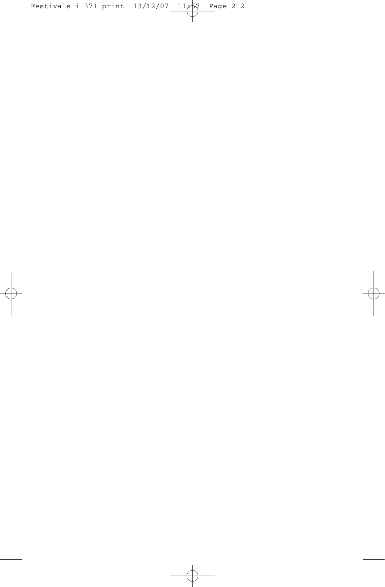$\overline{\varphi}$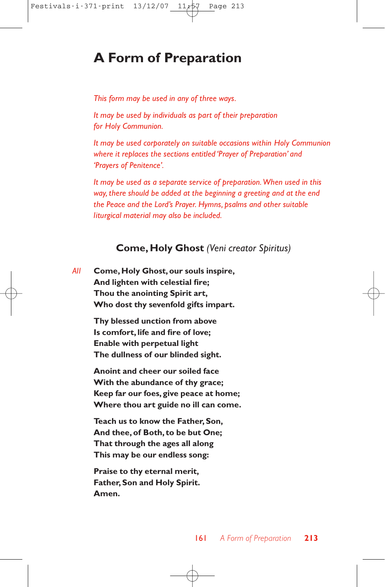# **A Form of Preparation**

*This form may be used in any of three ways.*

*It may be used by individuals as part of their preparation for Holy Communion.*

*It may be used corporately on suitable occasions within Holy Communion where it replaces the sections entitled 'Prayer of Preparation' and 'Prayers of Penitence'.*

*It may be used as a separate service of preparation. When used in this way, there should be added at the beginning a greeting and at the end the Peace and the Lord's Prayer. Hymns, psalms and other suitable liturgical material may also be included.*

# **Come, Holy Ghost** *(Veni creator Spiritus)*

*All* **Come, Holy Ghost, our souls inspire, And lighten with celestial fire; Thou the anointing Spirit art, Who dost thy sevenfold gifts impart.**

> **Thy blessed unction from above Is comfort, life and fire of love; Enable with perpetual light The dullness of our blinded sight.**

**Anoint and cheer our soiled face With the abundance of thy grace; Keep far our foes, give peace at home; Where thou art guide no ill can come.**

**Teach us to know the Father, Son, And thee, of Both, to be but One; That through the ages all along This may be our endless song:**

**Praise to thy eternal merit, Father, Son and Holy Spirit. Amen.**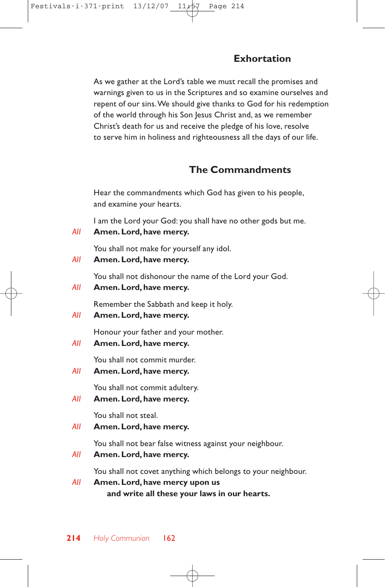# **Exhortation**

As we gather at the Lord's table we must recall the promises and warnings given to us in the Scriptures and so examine ourselves and repent of our sins.We should give thanks to God for his redemption of the world through his Son Jesus Christ and, as we remember Christ's death for us and receive the pledge of his love, resolve to serve him in holiness and righteousness all the days of our life.

# **The Commandments**

Hear the commandments which God has given to his people, and examine your hearts.

I am the Lord your God: you shall have no other gods but me.

*All* **Amen. Lord, have mercy.**

You shall not make for yourself any idol.

*All* **Amen. Lord, have mercy.**

You shall not dishonour the name of the Lord your God.

*All* **Amen.Lord, have mercy.**

Remember the Sabbath and keep it holy.

*All* **Amen.Lord, have mercy.**

Honour your father and your mother.

*All* **Amen. Lord, have mercy.**

You shall not commit murder.

*All* **Amen.Lord, have mercy.**

You shall not commit adultery.

*All* **Amen. Lord, have mercy.**

You shall not steal.

*All* **Amen.Lord, have mercy.**

You shall not bear false witness against your neighbour.

*All* **Amen. Lord, have mercy.**

You shall not covet anything which belongs to your neighbour.

# *All* **Amen. Lord, have mercy upon us and write all these your laws in our hearts.**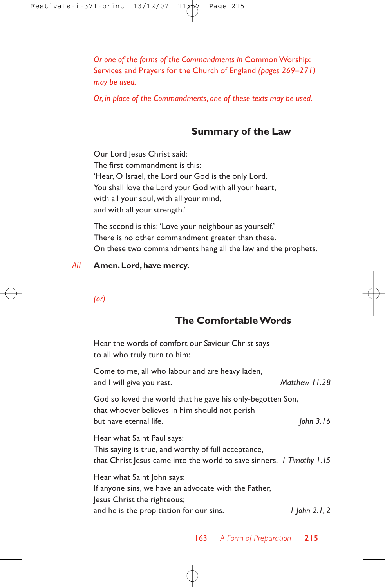*Or one of the forms of the Commandments in* Common Worship: Services and Prayers for the Church of England *(pages 269–271) may be used.*

*Or, in place of the Commandments, one of these texts may be used.*

# **Summary of the Law**

Our Lord Jesus Christ said: The first commandment is this: 'Hear, O Israel, the Lord our God is the only Lord. You shall love the Lord your God with all your heart, with all your soul, with all your mind, and with all your strength.'

The second is this: 'Love your neighbour as yourself.' There is no other commandment greater than these. On these two commandments hang all the law and the prophets.

### *All* **Amen.Lord, have mercy**.

*(or)*

# **The Comfortable Words**

Hear the words of comfort our Saviour Christ says to all who truly turn to him:

Come to me, all who labour and are heavy laden, and I will give you rest. *Matthew 11.28* God so loved the world that he gave his only-begotten Son, that whoever believes in him should not perish but have eternal life. *John 3.16* Hear what Saint Paul says: This saying is true, and worthy of full acceptance, that Christ Jesus came into the world to save sinners. *1 Timothy 1.15* Hear what Saint John says: If anyone sins, we have an advocate with the Father, Jesus Christ the righteous; and he is the propitiation for our sins. *1 John 2.1, 2*

163 *A Form of Preparation* **215**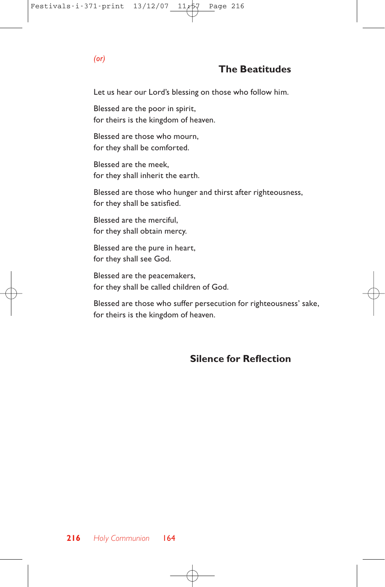### *(or)*

# **The Beatitudes**

Let us hear our Lord's blessing on those who follow him.

Blessed are the poor in spirit, for theirs is the kingdom of heaven.

Blessed are those who mourn, for they shall be comforted.

Blessed are the meek, for they shall inherit the earth.

Blessed are those who hunger and thirst after righteousness, for they shall be satisfied.

Blessed are the merciful, for they shall obtain mercy.

Blessed are the pure in heart, for they shall see God.

Blessed are the peacemakers, for they shall be called children of God.

Blessed are those who suffer persecution for righteousness' sake, for theirs is the kingdom of heaven.

# **Silence for Reflection**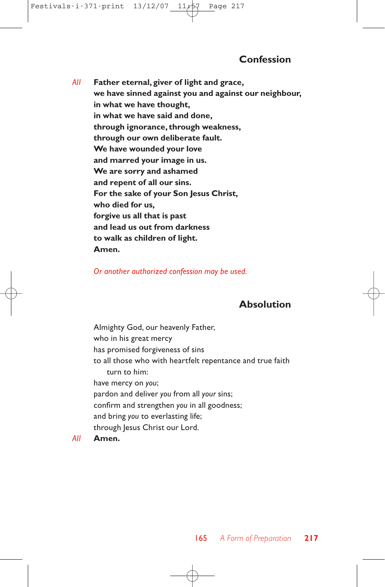# **Confession**

*All* **Father eternal, giver of light and grace, we have sinned against you and against our neighbour, in what we have thought, in what we have said and done, through ignorance, through weakness, through our own deliberate fault. We have wounded your love and marred your image in us. We are sorry and ashamed and repent of all our sins. For the sake of your Son Jesus Christ, who died for us, forgive us all that is past and lead us out from darkness to walk as children of light. Amen.**

*Or another authorized confession may be used.*

# **Absolution**

Almighty God, our heavenly Father, who in his great mercy has promised forgiveness of sins to all those who with heartfelt repentance and true faith turn to him: have mercy on *you*; pardon and deliver *you* from all *your* sins; confirm and strengthen *you* in all goodness; and bring *you* to everlasting life; through Jesus Christ our Lord.

*All* **Amen.**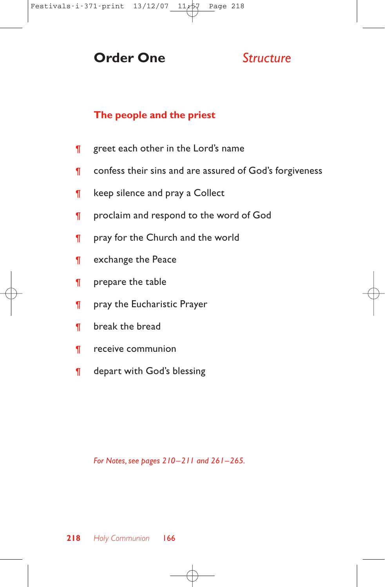# **Order One** *Structure*

# **The people and the priest**

- ¶ greet each other in the Lord's name
- ¶ confess their sins and are assured of God's forgiveness
- **T** keep silence and pray a Collect
- ¶ proclaim and respond to the word of God
- ¶ pray for the Church and the world
- ¶ exchange the Peace
- ¶ prepare the table
- **T** pray the Eucharistic Prayer
- ¶ break the bread
- ¶ receive communion
- **T** depart with God's blessing

*For Notes, see pages 210–211 and 261–265.*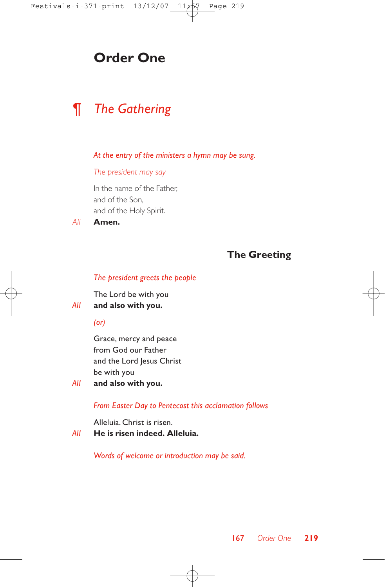Festivals-i-371-print  $13/12/07$   $11/57$  Page 219

# **Order One**

# *¶ The Gathering*

### *At the entry of the ministers a hymn may be sung.*

# *The president may say*

In the name of the Father, and of the Son, and of the Holy Spirit.

*All* **Amen.**

# **The Greeting**

#### *The president greets the people*

The Lord be with you *All* **and also with you.**

*(or)*

Grace, mercy and peace from God our Father and the Lord Jesus Christ be with you

*All* **and also with you.**

#### *From Easter Day to Pentecost this acclamation follows*

Alleluia. Christ is risen.

*All* **He is risen indeed. Alleluia.**

*Words of welcome or introduction may be said.*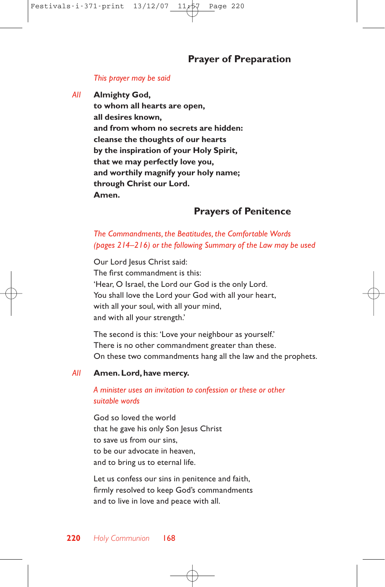# **Prayer of Preparation**

#### *This prayer may be said*

#### *All* **Almighty God,**

**to whom all hearts are open, all desires known, and from whom no secrets are hidden: cleanse the thoughts of our hearts by the inspiration of your Holy Spirit, that we may perfectly love you, and worthily magnify your holy name; through Christ our Lord. Amen.**

# **Prayers of Penitence**

# *The Commandments, the Beatitudes, the Comfortable Words (pages 214–216) or the following Summary of the Law may be used*

Our Lord Jesus Christ said: The first commandment is this: 'Hear, O Israel, the Lord our God is the only Lord. You shall love the Lord your God with all your heart, with all your soul, with all your mind, and with all your strength.'

The second is this: 'Love your neighbour as yourself.' There is no other commandment greater than these. On these two commandments hang all the law and the prophets.

#### *All* **Amen.Lord, have mercy.**

# *A minister uses an invitation to confession or these or other suitable words*

God so loved the world that he gave his only Son Jesus Christ to save us from our sins, to be our advocate in heaven, and to bring us to eternal life.

Let us confess our sins in penitence and faith, firmly resolved to keep God's commandments and to live in love and peace with all.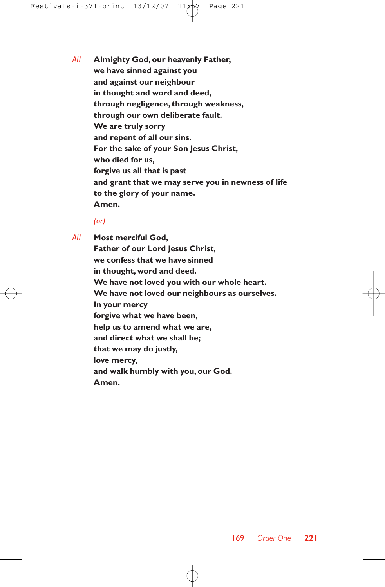*All* **Almighty God, our heavenly Father, we have sinned against you and against our neighbour in thought and word and deed, through negligence, through weakness, through our own deliberate fault. We are truly sorry and repent of all our sins. For the sake of your Son Jesus Christ, who died for us, forgive us all that is past and grant that we may serve you in newness of life to the glory of your name. Amen.**

# *(or)*

*All* **Most merciful God, Father of our Lord Jesus Christ, we confess that we have sinned in thought,word and deed. We have not loved you with our whole heart. We have not loved our neighbours as ourselves. In your mercy forgive what we have been, help us to amend what we are, and direct what we shall be; that we may do justly, love mercy, and walk humbly with you, our God. Amen.**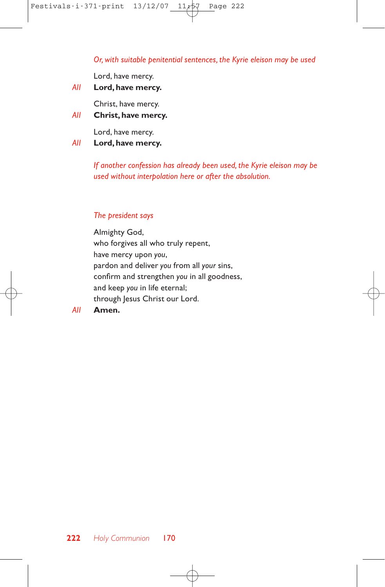## *Or, with suitable penitential sentences, the Kyrie eleison may be used*

Lord, have mercy.

*All* **Lord, have mercy.**

Christ, have mercy.

*All* **Christ, have mercy.**

Lord, have mercy.

*All* **Lord, have mercy.**

*If another confession has already been used, the Kyrie eleison may be used without interpolation here or after the absolution.*

#### *The president says*

Almighty God, who forgives all who truly repent, have mercy upon *you*, pardon and deliver *you* from all *your* sins, confirm and strengthen *you* in all goodness, and keep *you* in life eternal; through Jesus Christ our Lord.

*All* **Amen.**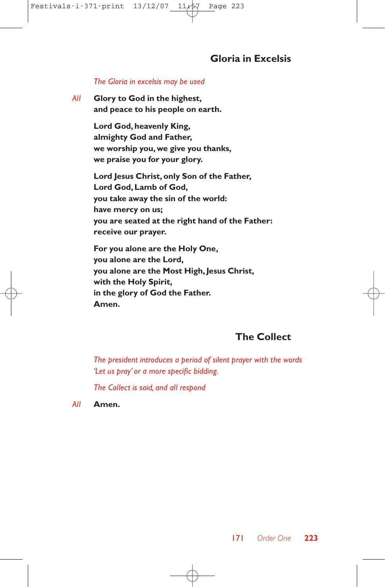# **Gloria in Excelsis**

#### *The Gloria in excelsis may be used*

*All* **Glory to God in the highest, and peace to his people on earth.**

> **Lord God, heavenly King, almighty God and Father, we worship you, we give you thanks, we praise you for your glory.**

**Lord Jesus Christ, only Son of the Father, Lord God, Lamb of God, you take away the sin of the world: have mercy on us; you are seated at the right hand of the Father: receive our prayer.**

**For you alone are the Holy One, you alone are the Lord, you alone are the Most High, Jesus Christ, with the Holy Spirit, in the glory of God the Father. Amen.**

# **The Collect**

*The president introduces a period of silent prayer with the words 'Let us pray' or a more specific bidding.*

*The Collect is said, and all respond*

*All* **Amen.**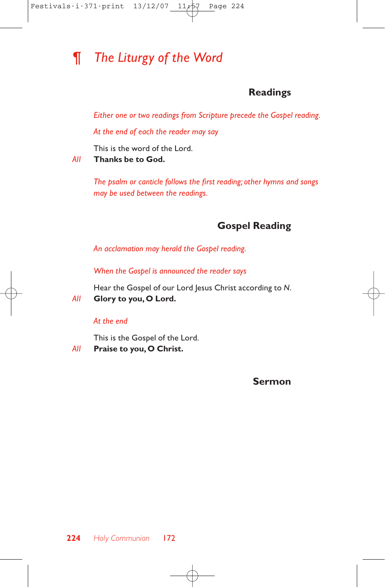# *¶ The Liturgy of the Word*

# **Readings**

*Either one or two readings from Scripture precede the Gospel reading.*

*At the end of each the reader may say*

This is the word of the Lord.

*All* **Thanks be to God.**

*The psalm or canticle follows the first reading; other hymns and songs may be used between the readings.*

# **Gospel Reading**

*An acclamation may herald the Gospel reading.*

*When the Gospel is announced the reader says*

Hear the Gospel of our Lord Jesus Christ according to *N*.

*All* **Glory to you, O Lord.**

#### *At the end*

This is the Gospel of the Lord.

*All* **Praise to you, O Christ.**

**Sermon**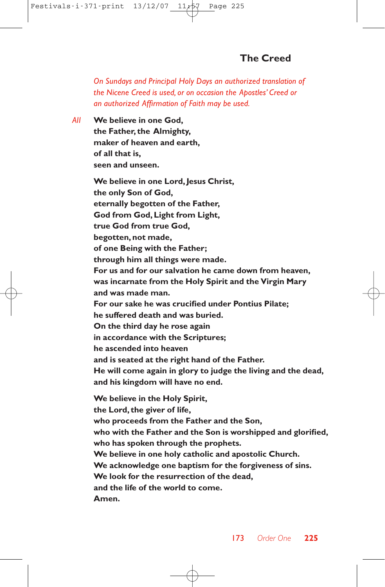# **The Creed**

*On Sundays and Principal Holy Days an authorized translation of the Nicene Creed is used, or on occasion the Apostles' Creed or an authorized Affirmation of Faith may be used.*

*All* **We believe in one God, the Father, the Almighty, maker of heaven and earth, of all that is, seen and unseen.**

> **We believe in one Lord, Jesus Christ, the only Son of God, eternally begotten of the Father, God from God, Light from Light, true God from true God, begotten, not made, of one Being with the Father; through him all things were made. For us and for our salvation he came down from heaven, was incarnate from the Holy Spirit and the Virgin Mary and was made man. For our sake he was crucified under Pontius Pilate; he suffered death and was buried. On the third day he rose again in accordance with the Scriptures; he ascended into heaven and is seated at the right hand of the Father. He will come again in glory to judge the living and the dead, and his kingdom will have no end.**

**We believe in the Holy Spirit, the Lord, the giver of life, who proceeds from the Father and the Son, who with the Father and the Son is worshipped and glorified, who has spoken through the prophets. We believe in one holy catholic and apostolic Church. We acknowledge one baptism for the forgiveness of sins. We look for the resurrection of the dead, and the life of the world to come. Amen.**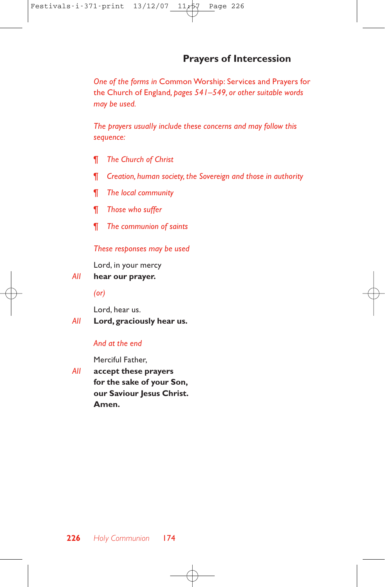# **Prayers of Intercession**

*One of the forms in* Common Worship: Services and Prayers for the Church of England*, pages 541–549, or other suitable words may be used.*

*The prayers usually include these concerns and may follow this sequence:*

- ¶ *The Church of Christ*
- ¶ *Creation, human society, the Sovereign and those in authority*
- ¶ *The local community*
- ¶ *Those who suffer*
- ¶ *The communion of saints*

#### *These responses may be used*

Lord, in your mercy

*All* **hear our prayer.**

*(or)*

Lord, hear us.

*All* **Lord, graciously hear us.**

### *And at the end*

Merciful Father,

*All* **accept these prayers for the sake of your Son, our Saviour Jesus Christ. Amen.**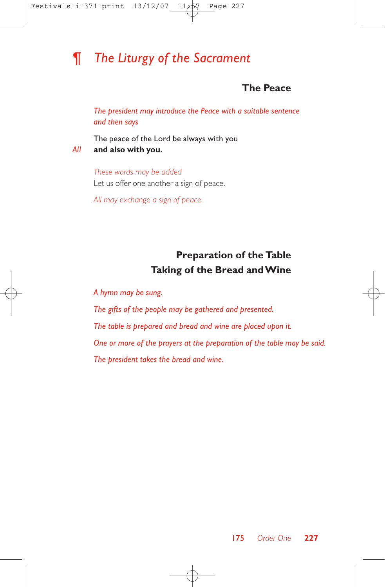# *¶ The Liturgy of the Sacrament*

# **The Peace**

*The president may introduce the Peace with a suitable sentence and then says*

The peace of the Lord be always with you *All* **and also with you.**

> *These words may be added* Let us offer one another a sign of peace.

*All may exchange a sign of peace.*

# **Preparation of the Table Taking of the Bread and Wine**

*A hymn may be sung.*

*The gifts of the people may be gathered and presented. The table is prepared and bread and wine are placed upon it. One or more of the prayers at the preparation of the table may be said. The president takes the bread and wine.*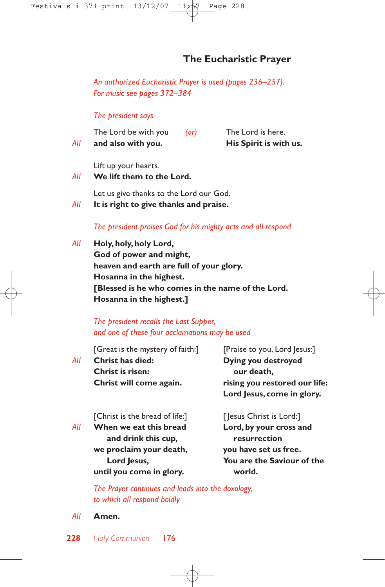# **The Eucharistic Prayer**

*An authorized Eucharistic Prayer is used (pages 236–257). For music see pages 372–384*

# *The president says*

| All | and also with you.   |      | His Spirit is with us. |
|-----|----------------------|------|------------------------|
|     | The Lord be with you | (or) | The Lord is here.      |

Lift up your hearts.

*All* **We lift them to the Lord.**

Let us give thanks to the Lord our God.

*All* **It is right to give thanks and praise.**

#### *The president praises God for his mighty acts and all respond*

*All* **Holy, holy, holy Lord, God of power and might, heaven and earth are full of your glory. Hosanna in the highest. [Blessed is he who comes in the name of the Lord. Hosanna in the highest.]**

# *The president recalls the Last Supper, and one of these four acclamations may be used*

[Great is the mystery of faith:] [Praise to you, Lord Jesus:]

*All* **Christ has died: Dying you destroyed Christ is risen: our death,**

**Christ will come again.** rising you restored our life: **Lord Jesus, come in glory.**

[Christ is the bread of life:] [ Jesus Christ is Lord:]

*All* **When we eat this bread Lord, by your cross and and drink this cup, resurrection we proclaim your death, you have set us free. until you come in glory. world.**

**Lord Jesus, You are the Saviour of the** 

*The Prayer continues and leads into the doxology, to which all respond boldly* 

*All* **Amen.**

**228** *Holy Communion* 176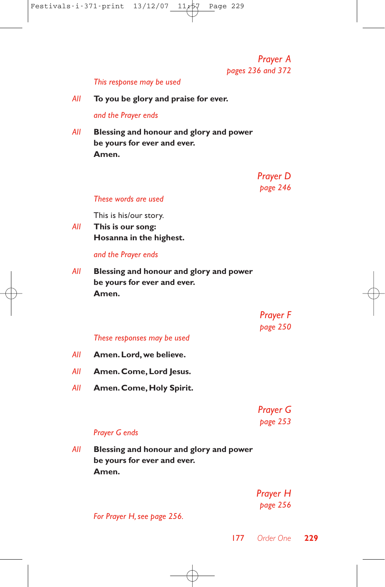# *Prayer A pages 236 and 372*

#### *This response may be used*

*All* **To you be glory and praise for ever.**

#### *and the Prayer ends*

*All* **Blessing and honour and glory and power be yours for ever and ever. Amen.**

> *Prayer D page 246*

# *These words are used*

This is his/our story.

*All* **This is our song: Hosanna in the highest.**

#### *and the Prayer ends*

*All* **Blessing and honour and glory and power be yours for ever and ever. Amen.**

> *Prayer F page 250*

#### *These responses may be used*

- *All* **Amen.Lord,we believe.**
- *All* **Amen.Come,Lord Jesus.**
- *All* **Amen.Come, Holy Spirit.**

*Prayer G page 253*

#### *Prayer G ends*

*All* **Blessing and honour and glory and power be yours for ever and ever. Amen.**

> *Prayer H page 256*

*For Prayer H, see page 256.*

177 *Order One* **229**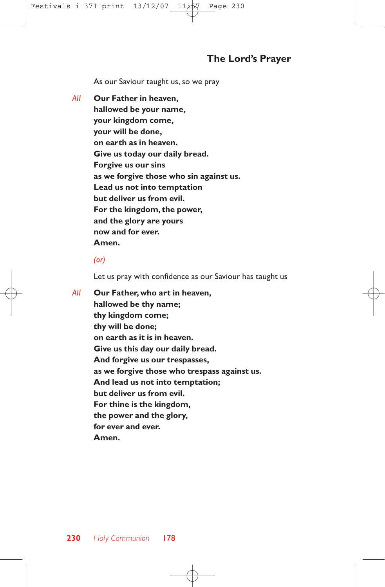# **The Lord's Prayer**

As our Saviour taught us, so we pray

*All* **Our Father in heaven, hallowed be your name, your kingdom come, your will be done, on earth as in heaven. Give us today our daily bread. Forgive us our sins as we forgive those who sin against us. Lead us not into temptation but deliver us from evil. For the kingdom, the power, and the glory are yours now and for ever. Amen.**

*(or)*

Let us pray with confidence as our Saviour has taught us

*All* **Our Father, who art in heaven, hallowed be thy name; thy kingdom come; thy will be done; on earth as it is in heaven. Give us this day our daily bread. And forgive us our trespasses, as we forgive those who trespass against us. And lead us not into temptation; but deliver us from evil. For thine is the kingdom, the power and the glory, for ever and ever. Amen.**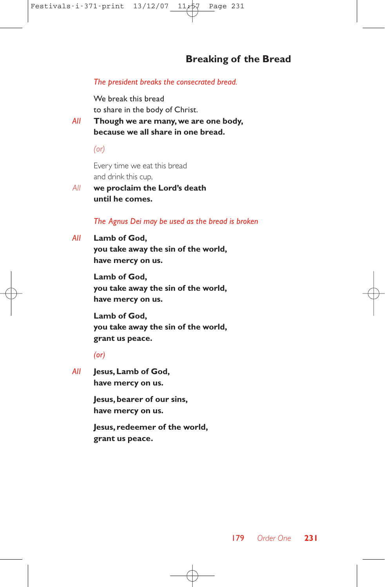# **Breaking of the Bread**

### *The president breaks the consecrated bread.*

We break this bread to share in the body of Christ.

*All* **Though we are many, we are one body, because we all share in one bread.**

# *(or)*

Every time we eat this bread and drink this cup,

*All* **we proclaim the Lord's death until he comes.**

# *The Agnus Dei may be used as the bread is broken*

*All* **Lamb of God, you take away the sin of the world, have mercy on us.**

> **Lamb of God, you take away the sin of the world, have mercy on us.**

> **Lamb of God, you take away the sin of the world, grant us peace.**

*(or)*

*All* **Jesus,Lamb of God, have mercy on us.**

> **Jesus, bearer of our sins, have mercy on us.**

**Jesus, redeemer of the world, grant us peace.**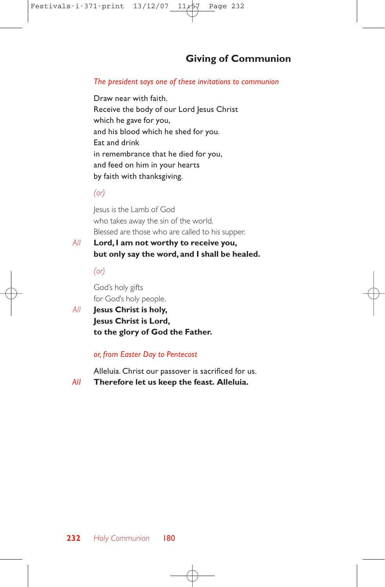# **Giving of Communion**

# *The president says one of these invitations to communion*

Draw near with faith. Receive the body of our Lord Jesus Christ which he gave for you, and his blood which he shed for you. Eat and drink in remembrance that he died for you, and feed on him in your hearts by faith with thanksgiving.

# *(or)*

Jesus is the Lamb of God who takes away the sin of the world. Blessed are those who are called to his supper.

*All* **Lord, I am not worthy to receive you, but only say the word, and I shall be healed.**

# *(or)*

God's holy gifts for God's holy people.

*All* **Jesus Christ is holy, Jesus Christ is Lord, to the glory of God the Father.**

#### *or, from Easter Day to Pentecost*

Alleluia. Christ our passover is sacrificed for us.

*All* **Therefore let us keep the feast. Alleluia.**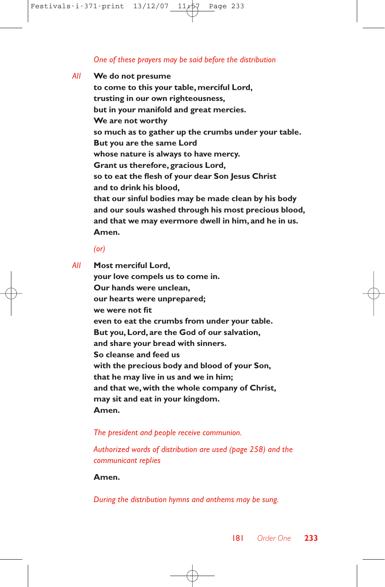#### *One of these prayers may be said before the distribution*

*All* **We do not presume to come to this your table, merciful Lord, trusting in our own righteousness, but in your manifold and great mercies. We are not worthy so much as to gather up the crumbs under your table. But you are the same Lord whose nature is always to have mercy. Grant us therefore, gracious Lord, so to eat the flesh of your dear Son Jesus Christ and to drink his blood, that our sinful bodies may be made clean by his body and our souls washed through his most precious blood, and that we may evermore dwell in him, and he in us. Amen.**

#### *(or)*

*All* **Most merciful Lord, your love compels us to come in. Our hands were unclean, our hearts were unprepared; we were not fit even to eat the crumbs from under your table. But you, Lord, are the God of our salvation, and share your bread with sinners. So cleanse and feed us with the precious body and blood of your Son, that he may live in us and we in him; and that we,with the whole company of Christ, may sit and eat in your kingdom. Amen.**

### *The president and people receive communion.*

*Authorized words of distribution are used (page 258) and the communicant replies* 

**Amen.**

*During the distribution hymns and anthems may be sung.*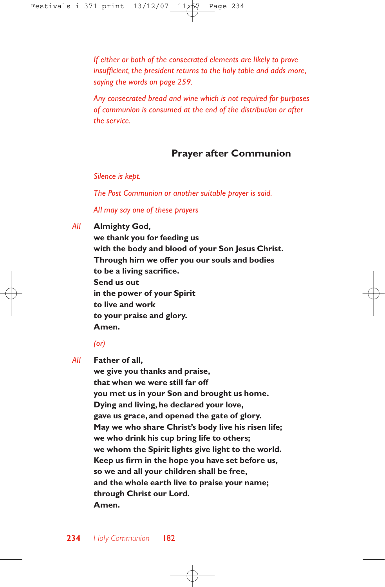*If either or both of the consecrated elements are likely to prove insufficient, the president returns to the holy table and adds more, saying the words on page 259.*

*Any consecrated bread and wine which is not required for purposes of communion is consumed at the end of the distribution or after the service.*

# **Prayer after Communion**

*Silence is kept.*

*The Post Communion or another suitable prayer is said.*

*All may say one of these prayers*

#### *All* **Almighty God,**

**we thank you for feeding us with the body and blood of your Son Jesus Christ. Through him we offer you our souls and bodies to be a living sacrifice. Send us out in the power of your Spirit to live and work to your praise and glory. Amen.**

# *(or)*

*All* **Father of all,**

**we give you thanks and praise, that when we were still far off you met us in your Son and brought us home. Dying and living, he declared your love, gave us grace, and opened the gate of glory. May we who share Christ's body live his risen life; we who drink his cup bring life to others; we whom the Spirit lights give light to the world. Keep us firm in the hope you have set before us, so we and all your children shall be free, and the whole earth live to praise your name; through Christ our Lord. Amen.**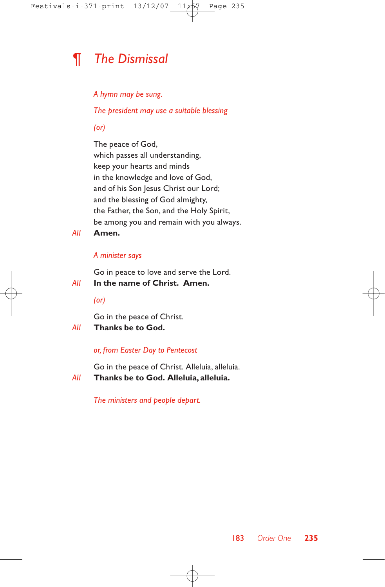Festivals-i-371-print  $13/12/07$   $11/57$  Page 235

# *¶ The Dismissal*

#### *A hymn may be sung.*

*The president may use a suitable blessing*

*(or)*

The peace of God, which passes all understanding, keep your hearts and minds in the knowledge and love of God, and of his Son Jesus Christ our Lord; and the blessing of God almighty, the Father, the Son, and the Holy Spirit, be among you and remain with you always.

*All* **Amen.**

#### *A minister says*

Go in peace to love and serve the Lord.

*All* **In the name of Christ. Amen.**

*(or)*

Go in the peace of Christ.

*All* **Thanks be to God.**

### *or, from Easter Day to Pentecost*

Go in the peace of Christ. Alleluia, alleluia.

*All* **Thanks be to God. Alleluia, alleluia.**

*The ministers and people depart.*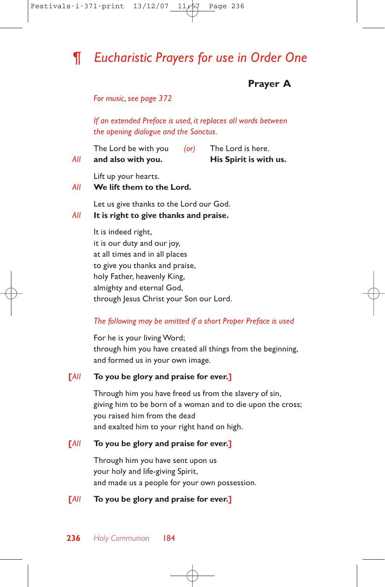# *¶ Eucharistic Prayers for use in Order One*

**Prayer A**

# *For music, see page 372*

*If an extended Preface is used, it replaces all words between the opening dialogue and the Sanctus.*

The Lord be with you *(or)* The Lord is here.

*All* **and also with you. His Spirit is with us.**

Lift up your hearts.

*All* **We lift them to the Lord.**

Let us give thanks to the Lord our God.

# *All* **It is right to give thanks and praise.**

It is indeed right, it is our duty and our joy, at all times and in all places to give you thanks and praise, holy Father, heavenly King, almighty and eternal God, through Jesus Christ your Son our Lord.

# *The following may be omitted if a short Proper Preface is used*

For he is your living Word; through him you have created all things from the beginning, and formed us in your own image.

# **[***All* **To you be glory and praise for ever.]**

Through him you have freed us from the slavery of sin, giving him to be born of a woman and to die upon the cross; you raised him from the dead and exalted him to your right hand on high.

# **[***All* **To you be glory and praise for ever.]**

Through him you have sent upon us your holy and life-giving Spirit, and made us a people for your own possession.

# **[***All* **To you be glory and praise for ever.]**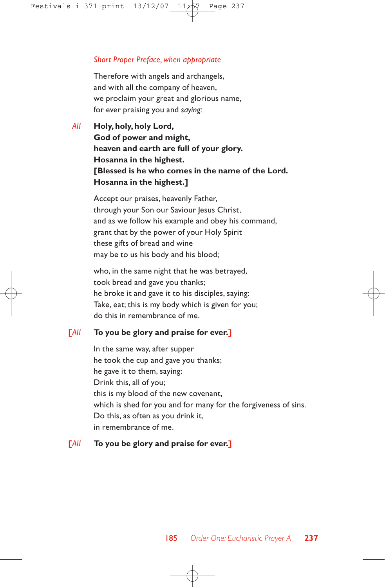#### *Short Proper Preface, when appropriate*

Therefore with angels and archangels, and with all the company of heaven, we proclaim your great and glorious name, for ever praising you and *saying:*

*All* **Holy, holy, holy Lord, God of power and might, heaven and earth are full of your glory. Hosanna in the highest. [Blessed is he who comes in the name of the Lord. Hosanna in the highest.]**

Accept our praises, heavenly Father, through your Son our Saviour Jesus Christ, and as we follow his example and obey his command, grant that by the power of your Holy Spirit these gifts of bread and wine may be to us his body and his blood;

who, in the same night that he was betrayed, took bread and gave you thanks; he broke it and gave it to his disciples, saying: Take, eat; this is my body which is given for you; do this in remembrance of me.

# **[***All* **To you be glory and praise for ever.]**

In the same way, after supper he took the cup and gave you thanks; he gave it to them, saying: Drink this, all of you; this is my blood of the new covenant, which is shed for you and for many for the forgiveness of sins. Do this, as often as you drink it, in remembrance of me.

#### **[***All* **To you be glory and praise for ever.]**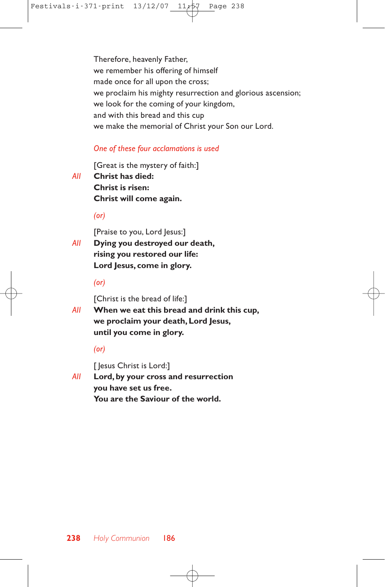Therefore, heavenly Father, we remember his offering of himself made once for all upon the cross; we proclaim his mighty resurrection and glorious ascension; we look for the coming of your kingdom, and with this bread and this cup we make the memorial of Christ your Son our Lord.

# *One of these four acclamations is used*

[Great is the mystery of faith:]

*All* **Christ has died: Christ is risen: Christ will come again.**

*(or)*

[Praise to you, Lord Jesus:]

*All* **Dying you destroyed our death, rising you restored our life: Lord Jesus, come in glory.**

*(or)*

[Christ is the bread of life:]

*All* **When we eat this bread and drink this cup, we proclaim your death, Lord Jesus, until you come in glory.**

#### *(or)*

[ Jesus Christ is Lord:]

*All* **Lord, by your cross and resurrection you have set us free. You are the Saviour of the world.**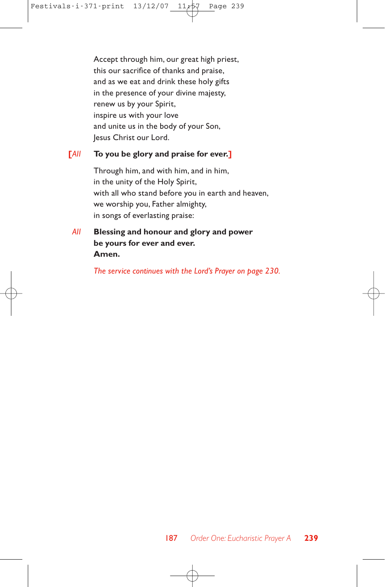Accept through him, our great high priest, this our sacrifice of thanks and praise, and as we eat and drink these holy gifts in the presence of your divine majesty, renew us by your Spirit, inspire us with your love and unite us in the body of your Son, Jesus Christ our Lord.

#### **[***All* **To you be glory and praise for ever.]**

Through him, and with him, and in him, in the unity of the Holy Spirit, with all who stand before you in earth and heaven, we worship you, Father almighty, in songs of everlasting praise:

*All* **Blessing and honour and glory and power be yours for ever and ever. Amen.**

*The service continues with the Lord's Prayer on page 230.*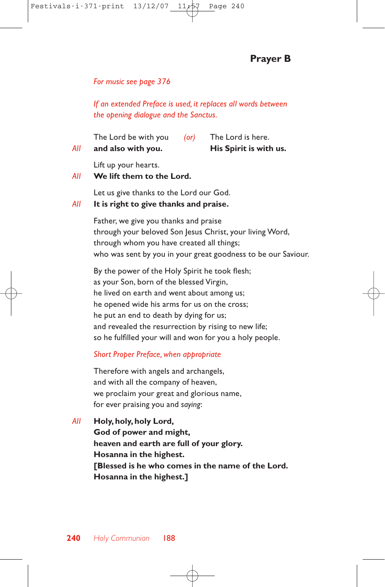# **Prayer B**

### *For music see page 376*

*If an extended Preface is used, it replaces all words between the opening dialogue and the Sanctus.*

- The Lord be with you *(or)* The Lord is here.
- *All* **and also with you. His Spirit is with us.**

Lift up your hearts.

# *All* **We lift them to the Lord.**

Let us give thanks to the Lord our God.

# *All* **It is right to give thanks and praise.**

Father, we give you thanks and praise through your beloved Son Jesus Christ, your living Word, through whom you have created all things; who was sent by you in your great goodness to be our Saviour.

By the power of the Holy Spirit he took flesh; as your Son, born of the blessed Virgin, he lived on earth and went about among us; he opened wide his arms for us on the cross; he put an end to death by dying for us; and revealed the resurrection by rising to new life; so he fulfilled your will and won for you a holy people.

#### *Short Proper Preface, when appropriate*

Therefore with angels and archangels, and with all the company of heaven, we proclaim your great and glorious name, for ever praising you and *saying*:

*All* **Holy, holy, holy Lord, God of power and might, heaven and earth are full of your glory. Hosanna in the highest. [Blessed is he who comes in the name of the Lord. Hosanna in the highest.]**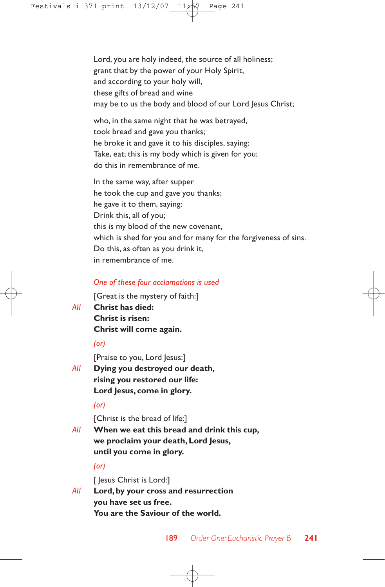Lord, you are holy indeed, the source of all holiness; grant that by the power of your Holy Spirit, and according to your holy will, these gifts of bread and wine may be to us the body and blood of our Lord Jesus Christ;

who, in the same night that he was betrayed, took bread and gave you thanks; he broke it and gave it to his disciples, saying: Take, eat; this is my body which is given for you; do this in remembrance of me.

In the same way, after supper he took the cup and gave you thanks; he gave it to them, saying: Drink this, all of you; this is my blood of the new covenant, which is shed for you and for many for the forgiveness of sins. Do this, as often as you drink it, in remembrance of me.

### *One of these four acclamations is used*

[Great is the mystery of faith:]

*All* **Christ has died: Christ is risen: Christ will come again.**

#### *(or)*

[Praise to you, Lord Jesus:]

*All* **Dying you destroyed our death, rising you restored our life: Lord Jesus, come in glory.**

# *(or)*

[Christ is the bread of life:]

*All* **When we eat this bread and drink this cup, we proclaim your death, Lord Jesus, until you come in glory.**

#### *(or)*

[ Jesus Christ is Lord:]

*All* **Lord, by your cross and resurrection you have set us free. You are the Saviour of the world.**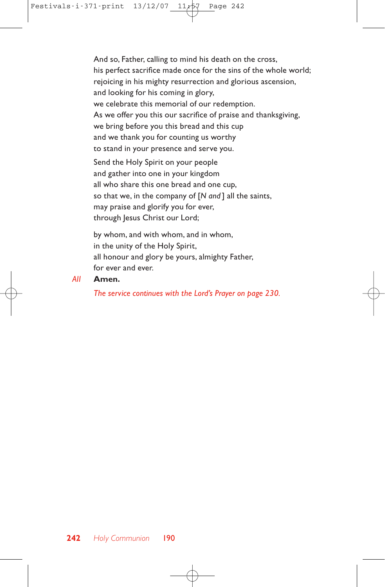And so, Father, calling to mind his death on the cross, his perfect sacrifice made once for the sins of the whole world; rejoicing in his mighty resurrection and glorious ascension, and looking for his coming in glory, we celebrate this memorial of our redemption. As we offer you this our sacrifice of praise and thanksgiving, we bring before you this bread and this cup and we thank you for counting us worthy to stand in your presence and serve you. Send the Holy Spirit on your people and gather into one in your kingdom all who share this one bread and one cup, so that we, in the company of [*N and* ] all the saints, may praise and glorify you for ever, through Jesus Christ our Lord;

by whom, and with whom, and in whom, in the unity of the Holy Spirit, all honour and glory be yours, almighty Father, for ever and ever.

# *All* **Amen.**

*The service continues with the Lord's Prayer on page 230.*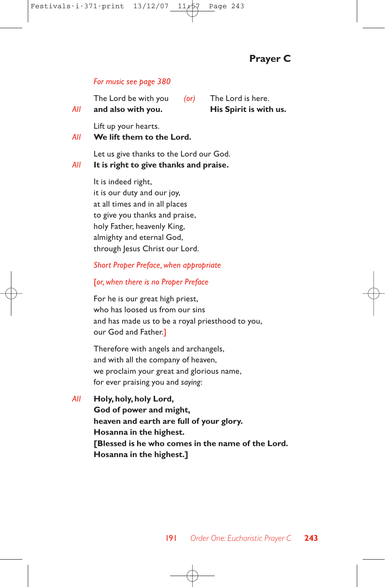# **Prayer C**

# *For music see page 380*

The Lord be with you *(or)* The Lord is here.

*All* **and also with you. His Spirit is with us.**

Lift up your hearts.

*All* **We lift them to the Lord.**

Let us give thanks to the Lord our God.

*All* **It is right to give thanks and praise.**

It is indeed right, it is our duty and our joy, at all times and in all places to give you thanks and praise, holy Father, heavenly King, almighty and eternal God, through Jesus Christ our Lord.

### *Short Proper Preface, when appropriate*

#### [*or, when there is no Proper Preface*

For he is our great high priest, who has loosed us from our sins and has made us to be a royal priesthood to you, our God and Father.]

Therefore with angels and archangels, and with all the company of heaven, we proclaim your great and glorious name, for ever praising you and *saying*:

*All* **Holy, holy, holy Lord, God of power and might, heaven and earth are full of your glory. Hosanna in the highest. [Blessed is he who comes in the name of the Lord. Hosanna in the highest.]**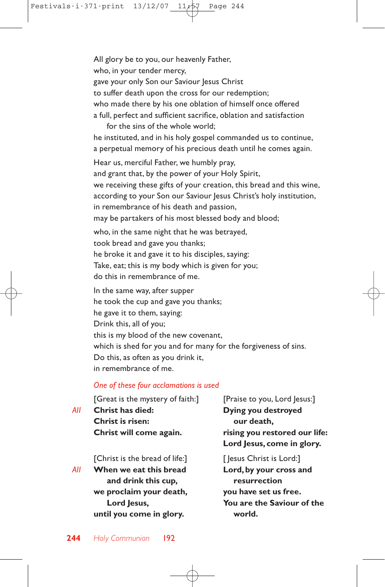All glory be to you, our heavenly Father, who, in your tender mercy, gave your only Son our Saviour Jesus Christ to suffer death upon the cross for our redemption; who made there by his one oblation of himself once offered a full, perfect and sufficient sacrifice, oblation and satisfaction for the sins of the whole world;

he instituted, and in his holy gospel commanded us to continue, a perpetual memory of his precious death until he comes again.

Hear us, merciful Father, we humbly pray, and grant that, by the power of your Holy Spirit, we receiving these gifts of your creation, this bread and this wine, according to your Son our Saviour Jesus Christ's holy institution, in remembrance of his death and passion, may be partakers of his most blessed body and blood;

who, in the same night that he was betrayed, took bread and gave you thanks; he broke it and gave it to his disciples, saying: Take, eat; this is my body which is given for you; do this in remembrance of me.

In the same way, after supper he took the cup and gave you thanks; he gave it to them, saying: Drink this, all of you; this is my blood of the new covenant, which is shed for you and for many for the forgiveness of sins. Do this, as often as you drink it, in remembrance of me.

#### *One of these four acclamations is used*

*All* **Christ has died: Dying you destroyed** 

**Christ is risen: our death,**

[Christ is the bread of life:] [ Jesus Christ is Lord:]

*All* **When we eat this bread Lord, by your cross and** and drink this cup, **resurrection we proclaim your death, you have set us free. until you come in glory. world.**

[Great is the mystery of faith:] [Praise to you, Lord Jesus:] **Christ will come again.** rising you restored our life: **Lord Jesus, come in glory.**

**Lord Jesus, You are the Saviour of the**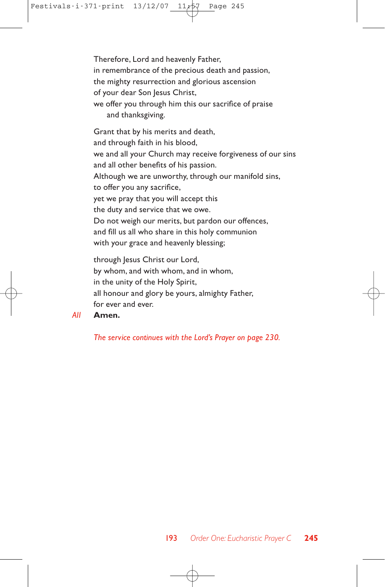Therefore, Lord and heavenly Father, in remembrance of the precious death and passion, the mighty resurrection and glorious ascension of your dear Son Jesus Christ, we offer you through him this our sacrifice of praise and thanksgiving.

Grant that by his merits and death, and through faith in his blood, we and all your Church may receive forgiveness of our sins and all other benefits of his passion. Although we are unworthy, through our manifold sins, to offer you any sacrifice, yet we pray that you will accept this the duty and service that we owe. Do not weigh our merits, but pardon our offences, and fill us all who share in this holy communion with your grace and heavenly blessing;

through Jesus Christ our Lord, by whom, and with whom, and in whom, in the unity of the Holy Spirit, all honour and glory be yours, almighty Father, for ever and ever.

*All* **Amen.**

*The service continues with the Lord's Prayer on page 230.*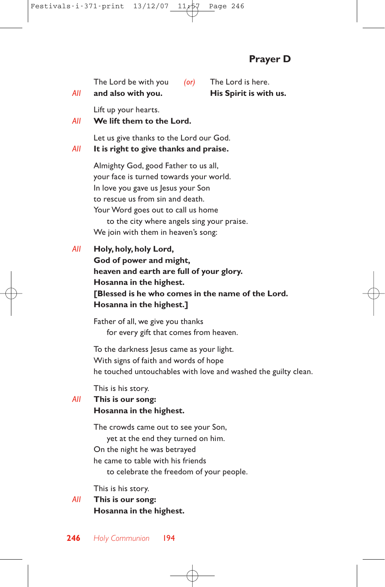Festivals-i-371-print  $13/12/07$   $11/57$  Page 246

# **Prayer D**

The Lord be with you *(or)* The Lord is here.

*All* **and also with you. His Spirit is with us.**

Lift up your hearts.

*All* **We lift them to the Lord.**

Let us give thanks to the Lord our God. *All* **It is right to give thanks and praise.**

> Almighty God, good Father to us all, your face is turned towards your world. In love you gave us Jesus your Son to rescue us from sin and death. Your Word goes out to call us home to the city where angels sing your praise. We join with them in heaven's song:

*All* **Holy, holy, holy Lord, God of power and might, heaven and earth are full of your glory. Hosanna in the highest. [Blessed is he who comes in the name of the Lord. Hosanna in the highest.]**

> Father of all, we give you thanks for every gift that comes from heaven.

To the darkness lesus came as your light. With signs of faith and words of hope he touched untouchables with love and washed the guilty clean.

This is his story.

*All* **This is our song: Hosanna in the highest.**

> The crowds came out to see your Son, yet at the end they turned on him. On the night he was betrayed he came to table with his friends to celebrate the freedom of your people.

This is his story.

*All* **This is our song: Hosanna in the highest.**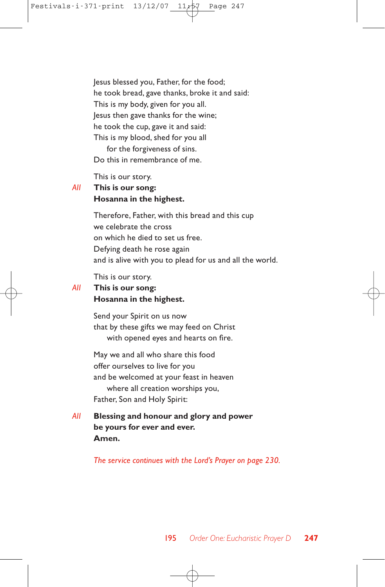Jesus blessed you, Father, for the food; he took bread, gave thanks, broke it and said: This is my body, given for you all. Jesus then gave thanks for the wine; he took the cup, gave it and said: This is my blood, shed for you all for the forgiveness of sins.

Do this in remembrance of me.

This is our story.

# *All* **This is our song: Hosanna in the highest.**

Therefore, Father, with this bread and this cup we celebrate the cross on which he died to set us free. Defying death he rose again and is alive with you to plead for us and all the world.

This is our story.

# *All* **This is our song: Hosanna in the highest.**

Send your Spirit on us now that by these gifts we may feed on Christ with opened eyes and hearts on fire.

May we and all who share this food offer ourselves to live for you and be welcomed at your feast in heaven where all creation worships you, Father, Son and Holy Spirit:

*All* **Blessing and honour and glory and power be yours for ever and ever. Amen.**

*The service continues with the Lord's Prayer on page 230.*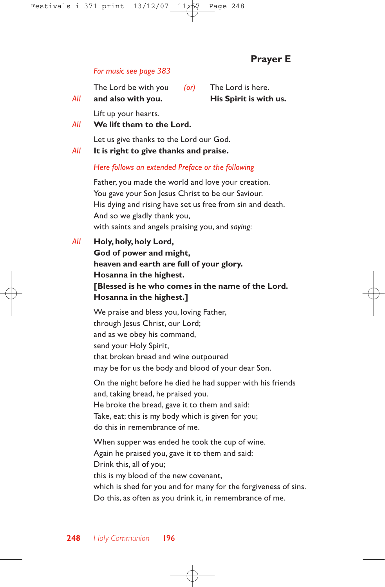# **Prayer E**

# *For music see page 383*

The Lord be with you *(or)* The Lord is here.

- *All* **and also with you. His Spirit is with us.**
- 

Lift up your hearts.

*All* **We lift them to the Lord.**

Let us give thanks to the Lord our God.

*All* **It is right to give thanks and praise.**

# *Here follows an extended Preface or the following*

Father, you made the world and love your creation. You gave your Son Jesus Christ to be our Saviour. His dying and rising have set us free from sin and death. And so we gladly thank you, with saints and angels praising you, and *saying*:

*All* **Holy, holy, holy Lord, God of power and might, heaven and earth are full of your glory. Hosanna in the highest. [Blessed is he who comes in the name of the Lord. Hosanna in the highest.]**

We praise and bless you, loving Father, through Jesus Christ, our Lord; and as we obey his command, send your Holy Spirit, that broken bread and wine outpoured may be for us the body and blood of your dear Son.

On the night before he died he had supper with his friends and, taking bread, he praised you. He broke the bread, gave it to them and said: Take, eat; this is my body which is given for you; do this in remembrance of me.

When supper was ended he took the cup of wine. Again he praised you, gave it to them and said: Drink this, all of you; this is my blood of the new covenant, which is shed for you and for many for the forgiveness of sins. Do this, as often as you drink it, in remembrance of me.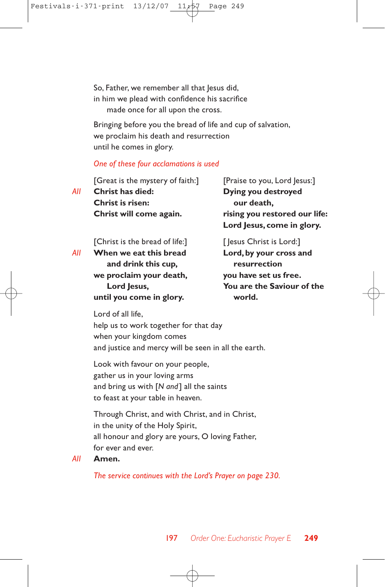So, Father, we remember all that Jesus did, in him we plead with confidence his sacrifice made once for all upon the cross.

Bringing before you the bread of life and cup of salvation, we proclaim his death and resurrection until he comes in glory.

# *One of these four acclamations is used*

[Great is the mystery of faith:] [Praise to you, Lord Jesus:]

*All* **Christ has died: Dying you destroyed Christ is risen: our death,**

[Christ is the bread of life:] [ Jesus Christ is Lord:]

*All* **When we eat this bread Lord, by your cross and** and drink this cup, **resurrection we proclaim your death, you have set us free. until you come in glory. world.**

Christ will come again. **rising you restored our life: Lord Jesus, come in glory.**

**Lord Jesus, You are the Saviour of the** 

Lord of all life,

help us to work together for that day when your kingdom comes and justice and mercy will be seen in all the earth.

Look with favour on your people, gather us in your loving arms and bring us with [*N and*] all the saints to feast at your table in heaven.

Through Christ, and with Christ, and in Christ, in the unity of the Holy Spirit, all honour and glory are yours, O loving Father, for ever and ever.

# *All* **Amen.**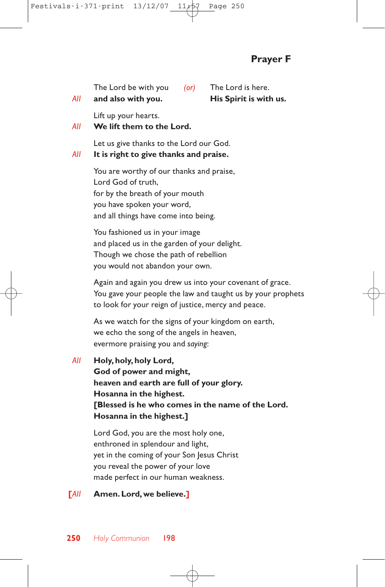Festivals-i-371-print  $13/12/07$   $11/57$  Page 250

# **Prayer F**

The Lord be with you *(or)* The Lord is here.

- *All* **and also with you. His Spirit is with us.**
- 
- 

Lift up your hearts.

*All* **We lift them to the Lord.**

Let us give thanks to the Lord our God.

# *All* **It is right to give thanks and praise.**

You are worthy of our thanks and praise, Lord God of truth, for by the breath of your mouth you have spoken your word, and all things have come into being.

You fashioned us in your image and placed us in the garden of your delight. Though we chose the path of rebellion you would not abandon your own.

Again and again you drew us into your covenant of grace. You gave your people the law and taught us by your prophets to look for your reign of justice, mercy and peace.

As we watch for the signs of your kingdom on earth, we echo the song of the angels in heaven, evermore praising you and *saying*:

*All* **Holy, holy, holy Lord, God of power and might, heaven and earth are full of your glory. Hosanna in the highest. [Blessed is he who comes in the name of the Lord. Hosanna in the highest.]**

Lord God, you are the most holy one, enthroned in splendour and light, yet in the coming of your Son Jesus Christ you reveal the power of your love made perfect in our human weakness.

# **[***All* **Amen. Lord, we believe.]**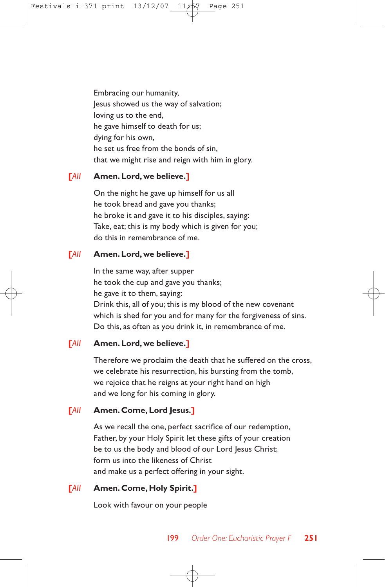Embracing our humanity, lesus showed us the way of salvation; loving us to the end, he gave himself to death for us; dying for his own, he set us free from the bonds of sin, that we might rise and reign with him in glory.

# **[***All* **Amen. Lord, we believe.]**

On the night he gave up himself for us all he took bread and gave you thanks; he broke it and gave it to his disciples, saying: Take, eat; this is my body which is given for you; do this in remembrance of me.

### **[***All* **Amen.Lord,we believe.]**

In the same way, after supper he took the cup and gave you thanks; he gave it to them, saying: Drink this, all of you; this is my blood of the new covenant which is shed for you and for many for the forgiveness of sins. Do this, as often as you drink it, in remembrance of me.

# **[***All* **Amen. Lord, we believe.]**

Therefore we proclaim the death that he suffered on the cross, we celebrate his resurrection, his bursting from the tomb, we rejoice that he reigns at your right hand on high and we long for his coming in glory.

## **[***All* **Amen.Come,Lord Jesus.]**

As we recall the one, perfect sacrifice of our redemption, Father, by your Holy Spirit let these gifts of your creation be to us the body and blood of our Lord Jesus Christ; form us into the likeness of Christ and make us a perfect offering in your sight.

### **[***All* **Amen. Come, Holy Spirit.]**

Look with favour on your people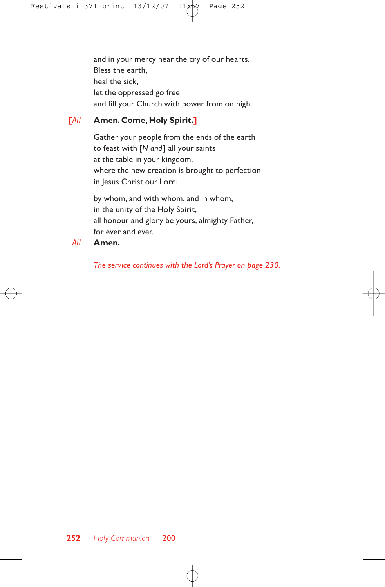and in your mercy hear the cry of our hearts. Bless the earth, heal the sick, let the oppressed go free and fill your Church with power from on high.

# **[***All* **Amen. Come, Holy Spirit.]**

Gather your people from the ends of the earth to feast with [*N and*] all your saints at the table in your kingdom, where the new creation is brought to perfection in Jesus Christ our Lord;

by whom, and with whom, and in whom, in the unity of the Holy Spirit, all honour and glory be yours, almighty Father, for ever and ever.

# *All* **Amen.**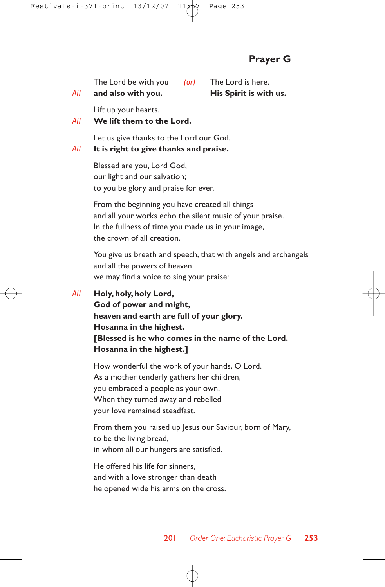Festivals-i-371-print  $13/12/07$   $11/57$  Page 253

# **Prayer G**

The Lord be with you *(or)* The Lord is here.

*All* **and also with you. His Spirit is with us.**

Lift up your hearts.

# *All* **We lift them to the Lord.**

Let us give thanks to the Lord our God.

# *All* **It is right to give thanks and praise.**

Blessed are you, Lord God, our light and our salvation; to you be glory and praise for ever.

From the beginning you have created all things and all your works echo the silent music of your praise. In the fullness of time you made us in your image, the crown of all creation.

You give us breath and speech, that with angels and archangels and all the powers of heaven we may find a voice to sing your praise:

*All* **Holy, holy, holy Lord, God of power and might, heaven and earth are full of your glory. Hosanna in the highest. [Blessed is he who comes in the name of the Lord. Hosanna in the highest.]**

How wonderful the work of your hands, O Lord. As a mother tenderly gathers her children, you embraced a people as your own. When they turned away and rebelled your love remained steadfast.

From them you raised up Jesus our Saviour, born of Mary, to be the living bread, in whom all our hungers are satisfied.

He offered his life for sinners, and with a love stronger than death he opened wide his arms on the cross.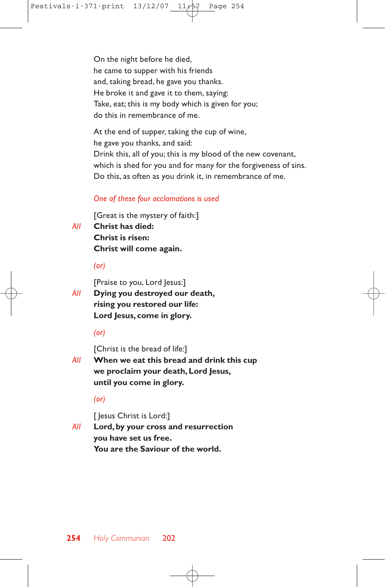On the night before he died, he came to supper with his friends and, taking bread, he gave you thanks. He broke it and gave it to them, saying: Take, eat; this is my body which is given for you; do this in remembrance of me.

At the end of supper, taking the cup of wine, he gave you thanks, and said: Drink this, all of you; this is my blood of the new covenant, which is shed for you and for many for the forgiveness of sins. Do this, as often as you drink it, in remembrance of me.

#### *One of these four acclamations is used*

[Great is the mystery of faith:]

*All* **Christ has died: Christ is risen: Christ will come again.**

*(or)*

[Praise to you, Lord Jesus:]

*All* **Dying you destroyed our death, rising you restored our life: Lord Jesus, come in glory.**

#### *(or)*

[Christ is the bread of life:]

*All* **When we eat this bread and drink this cup we proclaim your death, Lord Jesus, until you come in glory.**

#### *(or)*

[ Jesus Christ is Lord:]

*All* **Lord, by your cross and resurrection you have set us free. You are the Saviour of the world.**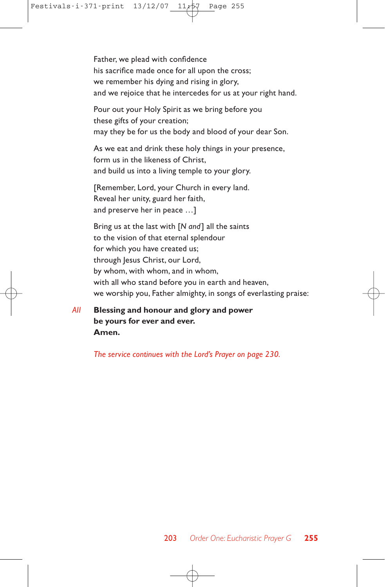Father, we plead with confidence his sacrifice made once for all upon the cross; we remember his dying and rising in glory, and we rejoice that he intercedes for us at your right hand.

Pour out your Holy Spirit as we bring before you these gifts of your creation; may they be for us the body and blood of your dear Son.

As we eat and drink these holy things in your presence, form us in the likeness of Christ, and build us into a living temple to your glory.

[Remember, Lord, your Church in every land. Reveal her unity, guard her faith, and preserve her in peace …]

Bring us at the last with [*N and*] all the saints to the vision of that eternal splendour for which you have created us; through Jesus Christ, our Lord, by whom, with whom, and in whom, with all who stand before you in earth and heaven, we worship you, Father almighty, in songs of everlasting praise:

*All* **Blessing and honour and glory and power be yours for ever and ever. Amen.**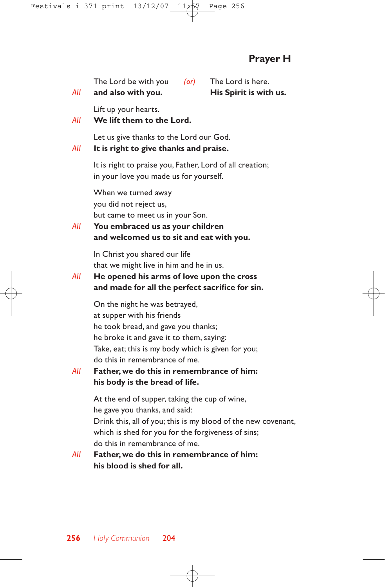Festivals-i-371-print  $13/12/07$ 

| c | ¥<br>г |
|---|--------|
|   |        |

# **Prayer H**

|     | The Lord be with you | $($ or $)$ | The Lord is here.      |  |  |
|-----|----------------------|------------|------------------------|--|--|
| All | and also with you.   |            | His Spirit is with us. |  |  |
|     |                      |            |                        |  |  |

Lift up your hearts.

# *All* **We lift them to the Lord.**

Let us give thanks to the Lord our God.

# *All* **It is right to give thanks and praise.**

It is right to praise you, Father, Lord of all creation; in your love you made us for yourself.

When we turned away you did not reject us, but came to meet us in your Son.

# *All* **You embraced us as your children and welcomed us to sit and eat with you.**

In Christ you shared our life that we might live in him and he in us.

# *All* **He opened his arms of love upon the cross and made for all the perfect sacrifice for sin.**

On the night he was betrayed, at supper with his friends he took bread, and gave you thanks; he broke it and gave it to them, saying: Take, eat; this is my body which is given for you; do this in remembrance of me.

# *All* **Father,we do this in remembrance of him: his body is the bread of life.**

At the end of supper, taking the cup of wine, he gave you thanks, and said: Drink this, all of you; this is my blood of the new covenant, which is shed for you for the forgiveness of sins; do this in remembrance of me.

# *All* **Father, we do this in remembrance of him: his blood is shed for all.**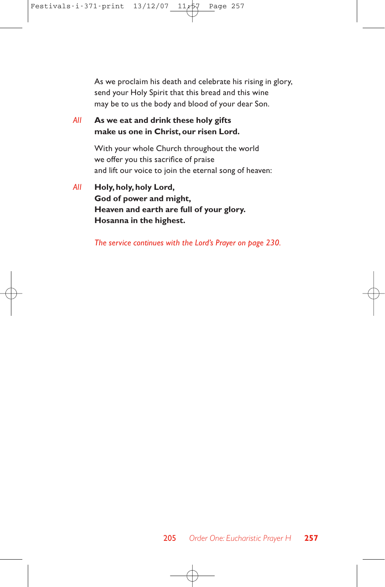As we proclaim his death and celebrate his rising in glory, send your Holy Spirit that this bread and this wine may be to us the body and blood of your dear Son.

# *All* **As we eat and drink these holy gifts make us one in Christ, our risen Lord.**

With your whole Church throughout the world we offer you this sacrifice of praise and lift our voice to join the eternal song of heaven:

*All* **Holy, holy, holy Lord, God of power and might, Heaven and earth are full of your glory. Hosanna in the highest.**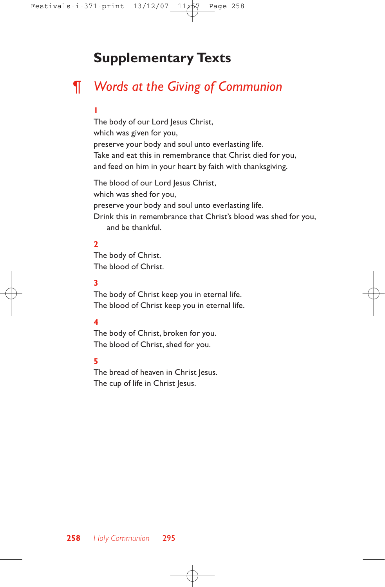# **Supplementary Texts**

*¶ Words at the Giving of Communion*

# **1**

The body of our Lord Jesus Christ, which was given for you, preserve your body and soul unto everlasting life. Take and eat this in remembrance that Christ died for you, and feed on him in your heart by faith with thanksgiving.

The blood of our Lord Jesus Christ, which was shed for you, preserve your body and soul unto everlasting life. Drink this in remembrance that Christ's blood was shed for you, and be thankful.

# **2**

The body of Christ. The blood of Christ.

## **3**

The body of Christ keep you in eternal life. The blood of Christ keep you in eternal life.

# **4**

The body of Christ, broken for you. The blood of Christ, shed for you.

# **5**

The bread of heaven in Christ Jesus. The cup of life in Christ Jesus.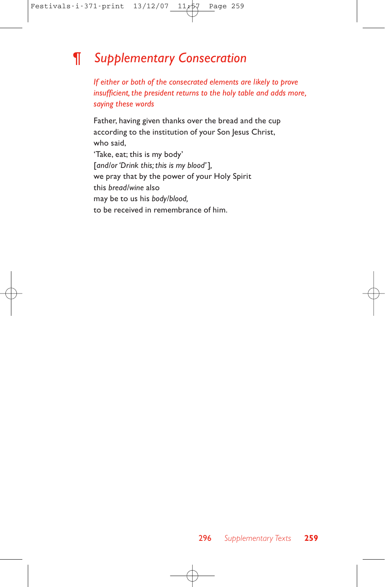# *¶ Supplementary Consecration*

*If either or both of the consecrated elements are likely to prove insufficient, the president returns to the holy table and adds more, saying these words*

Father, having given thanks over the bread and the cup according to the institution of your Son Jesus Christ, who said, 'Take, eat; this is my body' [*and/or 'Drink this; this is my blood'*]*,* we pray that by the power of your Holy Spirit this *bread/wine* also may be to us his *body/blood,* to be received in remembrance of him.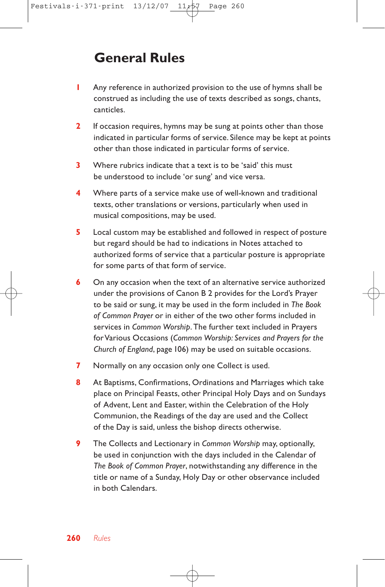# **General Rules**

- **1** Any reference in authorized provision to the use of hymns shall be construed as including the use of texts described as songs, chants, canticles.
- **2** If occasion requires, hymns may be sung at points other than those indicated in particular forms of service. Silence may be kept at points other than those indicated in particular forms of service.
- **3** Where rubrics indicate that a text is to be 'said' this must be understood to include 'or sung' and vice versa.
- **4** Where parts of a service make use of well-known and traditional texts, other translations or versions, particularly when used in musical compositions, may be used.
- **5** Local custom may be established and followed in respect of posture but regard should be had to indications in Notes attached to authorized forms of service that a particular posture is appropriate for some parts of that form of service.
- **6** On any occasion when the text of an alternative service authorized under the provisions of Canon B 2 provides for the Lord's Prayer to be said or sung, it may be used in the form included in *The Book of Common Prayer* or in either of the two other forms included in services in *Common Worship*. The further text included in Prayers forVarious Occasions (*Common Worship: Services and Prayers for the Church of England*, page 106) may be used on suitable occasions.
- **7** Normally on any occasion only one Collect is used.
- **8** At Baptisms, Confirmations, Ordinations and Marriages which take place on Principal Feasts, other Principal Holy Days and on Sundays of Advent, Lent and Easter, within the Celebration of the Holy Communion, the Readings of the day are used and the Collect of the Day is said, unless the bishop directs otherwise.
- **9** The Collects and Lectionary in *Common Worship* may, optionally, be used in conjunction with the days included in the Calendar of *The Book of Common Prayer*, notwithstanding any difference in the title or name of a Sunday, Holy Day or other observance included in both Calendars.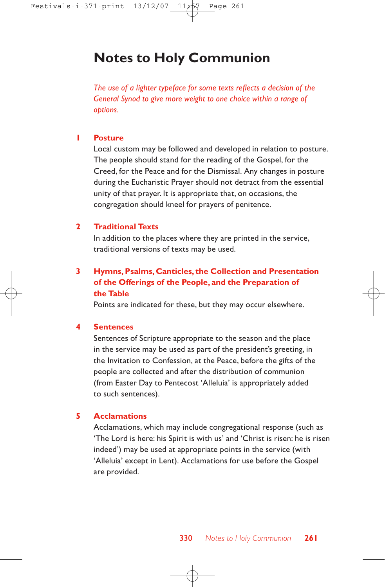# **Notes to Holy Communion**

*The use of a lighter typeface for some texts reflects a decision of the General Synod to give more weight to one choice within a range of options.*

#### **1 Posture**

Local custom may be followed and developed in relation to posture. The people should stand for the reading of the Gospel, for the Creed, for the Peace and for the Dismissal. Any changes in posture during the Eucharistic Prayer should not detract from the essential unity of that prayer. It is appropriate that, on occasions, the congregation should kneel for prayers of penitence.

### **2 Traditional Texts**

In addition to the places where they are printed in the service, traditional versions of texts may be used.

# **3 Hymns,Psalms,Canticles, the Collection and Presentation of the Offerings of the People, and the Preparation of the Table**

Points are indicated for these, but they may occur elsewhere.

#### **4 Sentences**

Sentences of Scripture appropriate to the season and the place in the service may be used as part of the president's greeting, in the Invitation to Confession, at the Peace, before the gifts of the people are collected and after the distribution of communion (from Easter Day to Pentecost 'Alleluia' is appropriately added to such sentences).

## **5 Acclamations**

Acclamations, which may include congregational response (such as 'The Lord is here: his Spirit is with us' and 'Christ is risen: he is risen indeed') may be used at appropriate points in the service (with 'Alleluia' except in Lent). Acclamations for use before the Gospel are provided.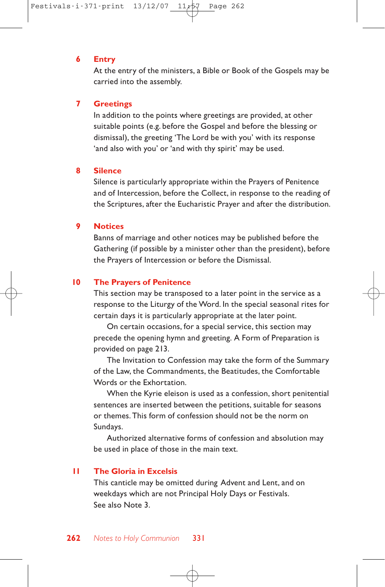#### **6 Entry**

At the entry of the ministers, a Bible or Book of the Gospels may be carried into the assembly.

#### **7 Greetings**

In addition to the points where greetings are provided, at other suitable points (e.g. before the Gospel and before the blessing or dismissal), the greeting 'The Lord be with you' with its response 'and also with you' or 'and with thy spirit' may be used.

#### **8 Silence**

Silence is particularly appropriate within the Prayers of Penitence and of Intercession, before the Collect, in response to the reading of the Scriptures, after the Eucharistic Prayer and after the distribution.

### **9 Notices**

Banns of marriage and other notices may be published before the Gathering (if possible by a minister other than the president), before the Prayers of Intercession or before the Dismissal.

#### **10 The Prayers of Penitence**

This section may be transposed to a later point in the service as a response to the Liturgy of the Word. In the special seasonal rites for certain days it is particularly appropriate at the later point.

On certain occasions, for a special service, this section may precede the opening hymn and greeting. A Form of Preparation is provided on page 213.

The Invitation to Confession may take the form of the Summary of the Law, the Commandments, the Beatitudes, the Comfortable Words or the Exhortation.

When the Kyrie eleison is used as a confession, short penitential sentences are inserted between the petitions, suitable for seasons or themes. This form of confession should not be the norm on Sundays.

Authorized alternative forms of confession and absolution may be used in place of those in the main text.

#### **11 The Gloria in Excelsis**

This canticle may be omitted during Advent and Lent, and on weekdays which are not Principal Holy Days or Festivals. See also Note 3.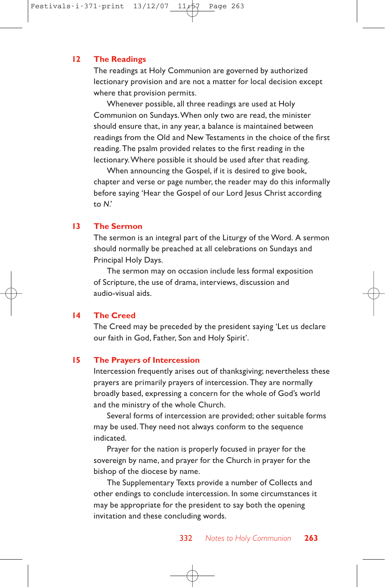#### **12 The Readings**

The readings at Holy Communion are governed by authorized lectionary provision and are not a matter for local decision except where that provision permits.

Whenever possible, all three readings are used at Holy Communion on Sundays.When only two are read, the minister should ensure that, in any year, a balance is maintained between readings from the Old and New Testaments in the choice of the first reading. The psalm provided relates to the first reading in the lectionary.Where possible it should be used after that reading.

When announcing the Gospel, if it is desired to give book, chapter and verse or page number, the reader may do this informally before saying 'Hear the Gospel of our Lord Jesus Christ according to *N*.'

# **13 The Sermon**

The sermon is an integral part of the Liturgy of the Word. A sermon should normally be preached at all celebrations on Sundays and Principal Holy Days.

The sermon may on occasion include less formal exposition of Scripture, the use of drama, interviews, discussion and audio-visual aids.

# **14 The Creed**

The Creed may be preceded by the president saying 'Let us declare our faith in God, Father, Son and Holy Spirit'.

#### **15 The Prayers of Intercession**

Intercession frequently arises out of thanksgiving; nevertheless these prayers are primarily prayers of intercession. They are normally broadly based, expressing a concern for the whole of God's world and the ministry of the whole Church.

Several forms of intercession are provided; other suitable forms may be used.They need not always conform to the sequence indicated.

Prayer for the nation is properly focused in prayer for the sovereign by name, and prayer for the Church in prayer for the bishop of the diocese by name.

The Supplementary Texts provide a number of Collects and other endings to conclude intercession. In some circumstances it may be appropriate for the president to say both the opening invitation and these concluding words.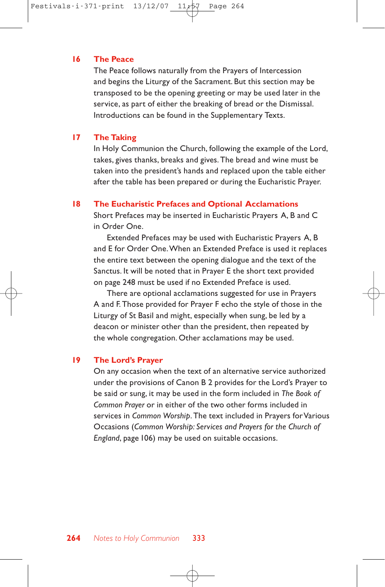#### **16 The Peace**

The Peace follows naturally from the Prayers of Intercession and begins the Liturgy of the Sacrament. But this section may be transposed to be the opening greeting or may be used later in the service, as part of either the breaking of bread or the Dismissal. Introductions can be found in the Supplementary Texts.

#### **17 The Taking**

In Holy Communion the Church, following the example of the Lord, takes, gives thanks, breaks and gives. The bread and wine must be taken into the president's hands and replaced upon the table either after the table has been prepared or during the Eucharistic Prayer.

#### **18 The Eucharistic Prefaces and Optional Acclamations**

Short Prefaces may be inserted in Eucharistic Prayers A, B and C in Order One.

Extended Prefaces may be used with Eucharistic Prayers A, B and E for Order One.When an Extended Preface is used it replaces the entire text between the opening dialogue and the text of the Sanctus. It will be noted that in Prayer E the short text provided on page 248 must be used if no Extended Preface is used.

There are optional acclamations suggested for use in Prayers A and F.Those provided for Prayer F echo the style of those in the Liturgy of St Basil and might, especially when sung, be led by a deacon or minister other than the president, then repeated by the whole congregation. Other acclamations may be used.

#### **19 The Lord's Prayer**

On any occasion when the text of an alternative service authorized under the provisions of Canon B 2 provides for the Lord's Prayer to be said or sung, it may be used in the form included in *The Book of Common Prayer* or in either of the two other forms included in services in *Common Worship*. The text included in Prayers for Various Occasions (*Common Worship: Services and Prayers for the Church of England*, page 106) may be used on suitable occasions.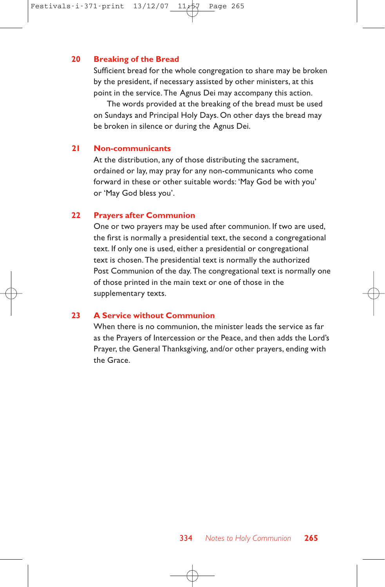#### **20 Breaking of the Bread**

Sufficient bread for the whole congregation to share may be broken by the president, if necessary assisted by other ministers, at this point in the service. The Agnus Dei may accompany this action.

The words provided at the breaking of the bread must be used on Sundays and Principal Holy Days. On other days the bread may be broken in silence or during the Agnus Dei.

## **21 Non-communicants**

At the distribution, any of those distributing the sacrament, ordained or lay, may pray for any non-communicants who come forward in these or other suitable words: 'May God be with you' or 'May God bless you'.

#### **22 Prayers after Communion**

One or two prayers may be used after communion. If two are used, the first is normally a presidential text, the second a congregational text. If only one is used, either a presidential or congregational text is chosen. The presidential text is normally the authorized Post Communion of the day. The congregational text is normally one of those printed in the main text or one of those in the supplementary texts.

### **23 A Service without Communion**

When there is no communion, the minister leads the service as far as the Prayers of Intercession or the Peace, and then adds the Lord's Prayer, the General Thanksgiving, and/or other prayers, ending with the Grace.